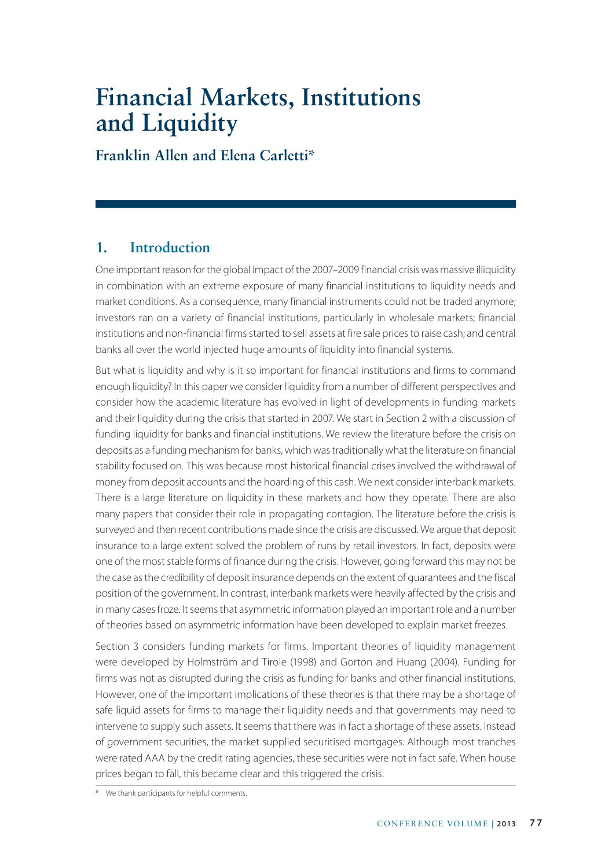# **Financial Markets, Institutions and Liquidity**

# **Franklin Allen and Elena Carletti\***

# **1. Introduction**

One important reason for the global impact of the 2007–2009 financial crisis was massive illiquidity in combination with an extreme exposure of many financial institutions to liquidity needs and market conditions. As a consequence, many financial instruments could not be traded anymore; investors ran on a variety of financial institutions, particularly in wholesale markets; financial institutions and non-financial firms started to sell assets at fire sale prices to raise cash; and central banks all over the world injected huge amounts of liquidity into financial systems.

But what is liquidity and why is it so important for financial institutions and firms to command enough liquidity? In this paper we consider liquidity from a number of different perspectives and consider how the academic literature has evolved in light of developments in funding markets and their liquidity during the crisis that started in 2007. We start in Section 2 with a discussion of funding liquidity for banks and financial institutions. We review the literature before the crisis on deposits as a funding mechanism for banks, which was traditionally what the literature on financial stability focused on. This was because most historical financial crises involved the withdrawal of money from deposit accounts and the hoarding of this cash. We next consider interbank markets. There is a large literature on liquidity in these markets and how they operate. There are also many papers that consider their role in propagating contagion. The literature before the crisis is surveyed and then recent contributions made since the crisis are discussed. We argue that deposit insurance to a large extent solved the problem of runs by retail investors. In fact, deposits were one of the most stable forms of finance during the crisis. However, going forward this may not be the case as the credibility of deposit insurance depends on the extent of guarantees and the fiscal position of the government. In contrast, interbank markets were heavily affected by the crisis and in many cases froze. It seems that asymmetric information played an important role and a number of theories based on asymmetric information have been developed to explain market freezes.

Section 3 considers funding markets for firms. Important theories of liquidity management were developed by Holmström and Tirole (1998) and Gorton and Huang (2004). Funding for firms was not as disrupted during the crisis as funding for banks and other financial institutions. However, one of the important implications of these theories is that there may be a shortage of safe liquid assets for firms to manage their liquidity needs and that governments may need to intervene to supply such assets. It seems that there was in fact a shortage of these assets. Instead of government securities, the market supplied securitised mortgages. Although most tranches were rated AAA by the credit rating agencies, these securities were not in fact safe. When house prices began to fall, this became clear and this triggered the crisis.

\* We thank participants for helpful comments.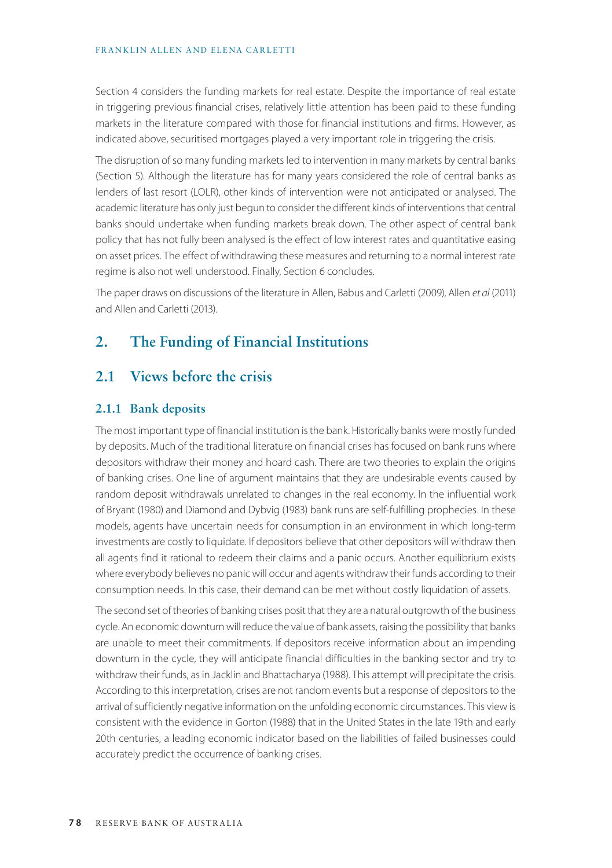Section 4 considers the funding markets for real estate. Despite the importance of real estate in triggering previous financial crises, relatively little attention has been paid to these funding markets in the literature compared with those for financial institutions and firms. However, as indicated above, securitised mortgages played a very important role in triggering the crisis.

The disruption of so many funding markets led to intervention in many markets by central banks (Section 5). Although the literature has for many years considered the role of central banks as lenders of last resort (LOLR), other kinds of intervention were not anticipated or analysed. The academic literature has only just begun to consider the different kinds of interventions that central banks should undertake when funding markets break down. The other aspect of central bank policy that has not fully been analysed is the effect of low interest rates and quantitative easing on asset prices. The effect of withdrawing these measures and returning to a normal interest rate regime is also not well understood. Finally, Section 6 concludes.

The paper draws on discussions of the literature in Allen, Babus and Carletti (2009), Allen *et al* (2011) and Allen and Carletti (2013).

# **2. The Funding of Financial Institutions**

# **2.1 Views before the crisis**

### **2.1.1 Bank deposits**

The most important type of financial institution is the bank. Historically banks were mostly funded by deposits. Much of the traditional literature on financial crises has focused on bank runs where depositors withdraw their money and hoard cash. There are two theories to explain the origins of banking crises. One line of argument maintains that they are undesirable events caused by random deposit withdrawals unrelated to changes in the real economy. In the influential work of Bryant (1980) and Diamond and Dybvig (1983) bank runs are self-fulfilling prophecies. In these models, agents have uncertain needs for consumption in an environment in which long-term investments are costly to liquidate. If depositors believe that other depositors will withdraw then all agents find it rational to redeem their claims and a panic occurs. Another equilibrium exists where everybody believes no panic will occur and agents withdraw their funds according to their consumption needs. In this case, their demand can be met without costly liquidation of assets.

The second set of theories of banking crises posit that they are a natural outgrowth of the business cycle. An economic downturn will reduce the value of bank assets, raising the possibility that banks are unable to meet their commitments. If depositors receive information about an impending downturn in the cycle, they will anticipate financial difficulties in the banking sector and try to withdraw their funds, as in Jacklin and Bhattacharya (1988). This attempt will precipitate the crisis. According to this interpretation, crises are not random events but a response of depositors to the arrival of sufficiently negative information on the unfolding economic circumstances. This view is consistent with the evidence in Gorton (1988) that in the United States in the late 19th and early 20th centuries, a leading economic indicator based on the liabilities of failed businesses could accurately predict the occurrence of banking crises.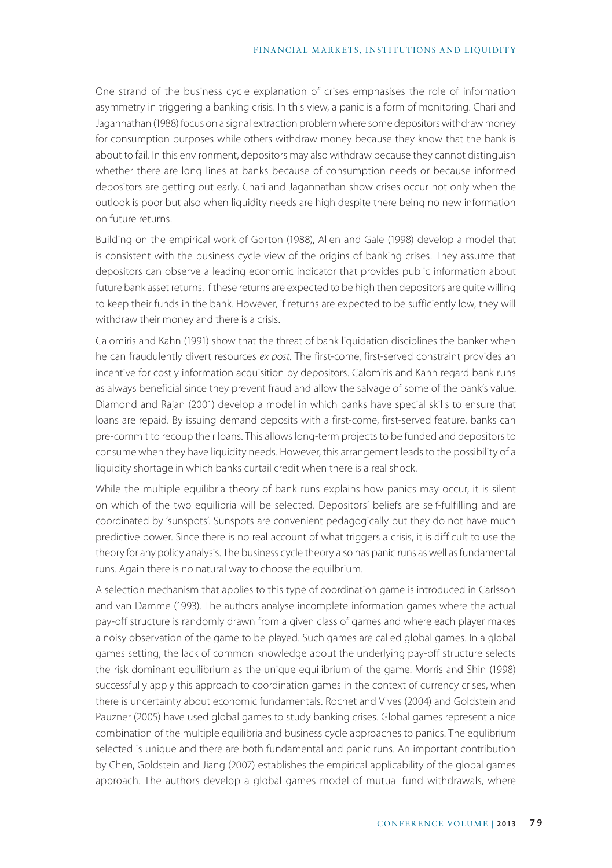One strand of the business cycle explanation of crises emphasises the role of information asymmetry in triggering a banking crisis. In this view, a panic is a form of monitoring. Chari and Jagannathan (1988) focus on a signal extraction problem where some depositors withdraw money for consumption purposes while others withdraw money because they know that the bank is about to fail. In this environment, depositors may also withdraw because they cannot distinguish whether there are long lines at banks because of consumption needs or because informed depositors are getting out early. Chari and Jagannathan show crises occur not only when the outlook is poor but also when liquidity needs are high despite there being no new information on future returns.

Building on the empirical work of Gorton (1988), Allen and Gale (1998) develop a model that is consistent with the business cycle view of the origins of banking crises. They assume that depositors can observe a leading economic indicator that provides public information about future bank asset returns. If these returns are expected to be high then depositors are quite willing to keep their funds in the bank. However, if returns are expected to be sufficiently low, they will withdraw their money and there is a crisis.

Calomiris and Kahn (1991) show that the threat of bank liquidation disciplines the banker when he can fraudulently divert resources *ex post*. The first-come, first-served constraint provides an incentive for costly information acquisition by depositors. Calomiris and Kahn regard bank runs as always beneficial since they prevent fraud and allow the salvage of some of the bank's value. Diamond and Rajan (2001) develop a model in which banks have special skills to ensure that loans are repaid. By issuing demand deposits with a first-come, first-served feature, banks can pre-commit to recoup their loans. This allows long-term projects to be funded and depositors to consume when they have liquidity needs. However, this arrangement leads to the possibility of a liquidity shortage in which banks curtail credit when there is a real shock.

While the multiple equilibria theory of bank runs explains how panics may occur, it is silent on which of the two equilibria will be selected. Depositors' beliefs are self-fulfilling and are coordinated by 'sunspots'. Sunspots are convenient pedagogically but they do not have much predictive power. Since there is no real account of what triggers a crisis, it is difficult to use the theory for any policy analysis. The business cycle theory also has panic runs as well as fundamental runs. Again there is no natural way to choose the equilbrium.

A selection mechanism that applies to this type of coordination game is introduced in Carlsson and van Damme (1993). The authors analyse incomplete information games where the actual pay-off structure is randomly drawn from a given class of games and where each player makes a noisy observation of the game to be played. Such games are called global games. In a global games setting, the lack of common knowledge about the underlying pay-off structure selects the risk dominant equilibrium as the unique equilibrium of the game. Morris and Shin (1998) successfully apply this approach to coordination games in the context of currency crises, when there is uncertainty about economic fundamentals. Rochet and Vives (2004) and Goldstein and Pauzner (2005) have used global games to study banking crises. Global games represent a nice combination of the multiple equilibria and business cycle approaches to panics. The equlibrium selected is unique and there are both fundamental and panic runs. An important contribution by Chen, Goldstein and Jiang (2007) establishes the empirical applicability of the global games approach. The authors develop a global games model of mutual fund withdrawals, where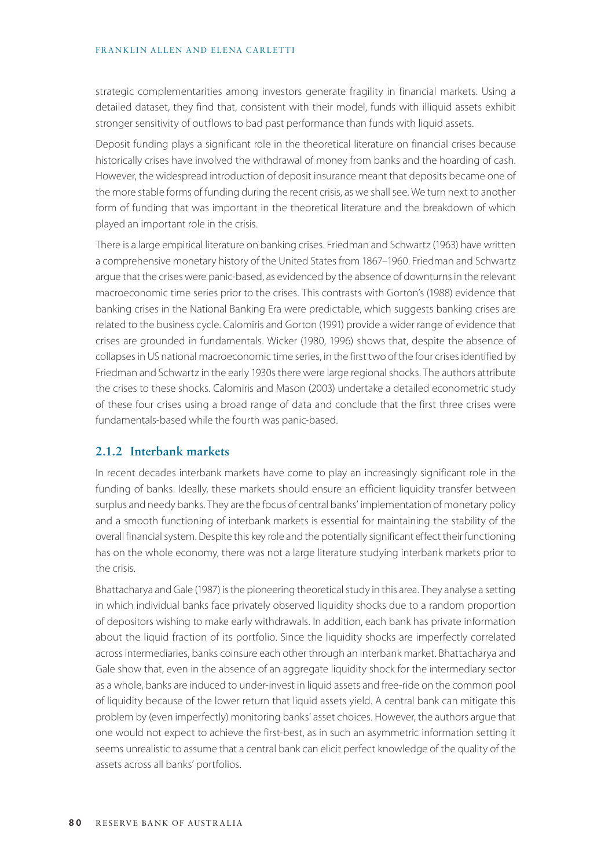strategic complementarities among investors generate fragility in financial markets. Using a detailed dataset, they find that, consistent with their model, funds with illiquid assets exhibit stronger sensitivity of outflows to bad past performance than funds with liquid assets.

Deposit funding plays a significant role in the theoretical literature on financial crises because historically crises have involved the withdrawal of money from banks and the hoarding of cash. However, the widespread introduction of deposit insurance meant that deposits became one of the more stable forms of funding during the recent crisis, as we shall see. We turn next to another form of funding that was important in the theoretical literature and the breakdown of which played an important role in the crisis.

There is a large empirical literature on banking crises. Friedman and Schwartz (1963) have written a comprehensive monetary history of the United States from 1867–1960. Friedman and Schwartz argue that the crises were panic-based, as evidenced by the absence of downturns in the relevant macroeconomic time series prior to the crises. This contrasts with Gorton's (1988) evidence that banking crises in the National Banking Era were predictable, which suggests banking crises are related to the business cycle. Calomiris and Gorton (1991) provide a wider range of evidence that crises are grounded in fundamentals. Wicker (1980, 1996) shows that, despite the absence of collapses in US national macroeconomic time series, in the first two of the four crises identified by Friedman and Schwartz in the early 1930s there were large regional shocks. The authors attribute the crises to these shocks. Calomiris and Mason (2003) undertake a detailed econometric study of these four crises using a broad range of data and conclude that the first three crises were fundamentals-based while the fourth was panic-based.

### **2.1.2 Interbank markets**

In recent decades interbank markets have come to play an increasingly significant role in the funding of banks. Ideally, these markets should ensure an efficient liquidity transfer between surplus and needy banks. They are the focus of central banks' implementation of monetary policy and a smooth functioning of interbank markets is essential for maintaining the stability of the overall financial system. Despite this key role and the potentially significant effect their functioning has on the whole economy, there was not a large literature studying interbank markets prior to the crisis.

Bhattacharya and Gale (1987) is the pioneering theoretical study in this area. They analyse a setting in which individual banks face privately observed liquidity shocks due to a random proportion of depositors wishing to make early withdrawals. In addition, each bank has private information about the liquid fraction of its portfolio. Since the liquidity shocks are imperfectly correlated across intermediaries, banks coinsure each other through an interbank market. Bhattacharya and Gale show that, even in the absence of an aggregate liquidity shock for the intermediary sector as a whole, banks are induced to under-invest in liquid assets and free-ride on the common pool of liquidity because of the lower return that liquid assets yield. A central bank can mitigate this problem by (even imperfectly) monitoring banks' asset choices. However, the authors argue that one would not expect to achieve the first-best, as in such an asymmetric information setting it seems unrealistic to assume that a central bank can elicit perfect knowledge of the quality of the assets across all banks' portfolios.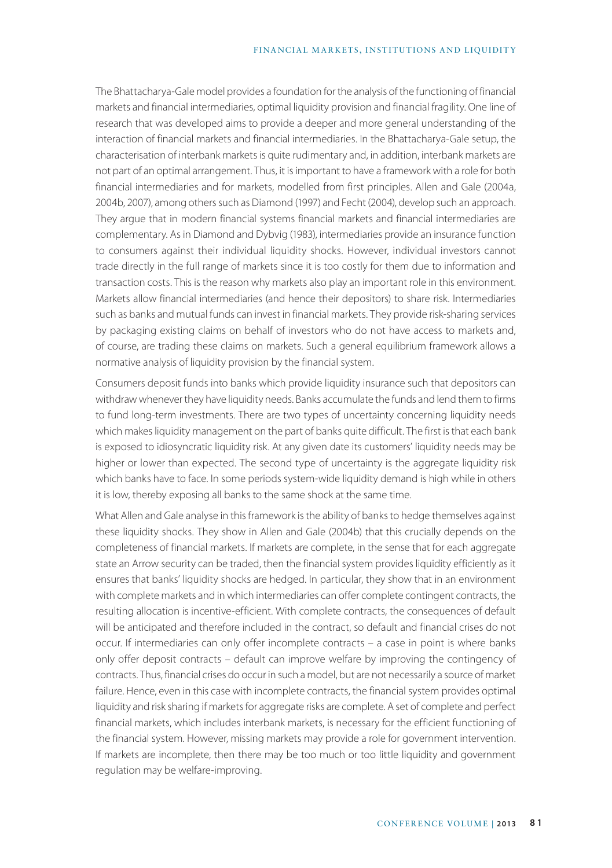The Bhattacharya-Gale model provides a foundation for the analysis of the functioning of financial markets and financial intermediaries, optimal liquidity provision and financial fragility. One line of research that was developed aims to provide a deeper and more general understanding of the interaction of financial markets and financial intermediaries. In the Bhattacharya-Gale setup, the characterisation of interbank markets is quite rudimentary and, in addition, interbank markets are not part of an optimal arrangement. Thus, it is important to have a framework with a role for both financial intermediaries and for markets, modelled from first principles. Allen and Gale (2004a, 2004b, 2007), among others such as Diamond (1997) and Fecht (2004), develop such an approach. They argue that in modern financial systems financial markets and financial intermediaries are complementary. As in Diamond and Dybvig (1983), intermediaries provide an insurance function to consumers against their individual liquidity shocks. However, individual investors cannot trade directly in the full range of markets since it is too costly for them due to information and transaction costs. This is the reason why markets also play an important role in this environment. Markets allow financial intermediaries (and hence their depositors) to share risk. Intermediaries such as banks and mutual funds can invest in financial markets. They provide risk-sharing services by packaging existing claims on behalf of investors who do not have access to markets and, of course, are trading these claims on markets. Such a general equilibrium framework allows a normative analysis of liquidity provision by the financial system.

Consumers deposit funds into banks which provide liquidity insurance such that depositors can withdraw whenever they have liquidity needs. Banks accumulate the funds and lend them to firms to fund long-term investments. There are two types of uncertainty concerning liquidity needs which makes liquidity management on the part of banks quite difficult. The first is that each bank is exposed to idiosyncratic liquidity risk. At any given date its customers' liquidity needs may be higher or lower than expected. The second type of uncertainty is the aggregate liquidity risk which banks have to face. In some periods system-wide liquidity demand is high while in others it is low, thereby exposing all banks to the same shock at the same time.

What Allen and Gale analyse in this framework is the ability of banks to hedge themselves against these liquidity shocks. They show in Allen and Gale (2004b) that this crucially depends on the completeness of financial markets. If markets are complete, in the sense that for each aggregate state an Arrow security can be traded, then the financial system provides liquidity efficiently as it ensures that banks' liquidity shocks are hedged. In particular, they show that in an environment with complete markets and in which intermediaries can offer complete contingent contracts, the resulting allocation is incentive-efficient. With complete contracts, the consequences of default will be anticipated and therefore included in the contract, so default and financial crises do not occur. If intermediaries can only offer incomplete contracts – a case in point is where banks only offer deposit contracts – default can improve welfare by improving the contingency of contracts. Thus, financial crises do occur in such a model, but are not necessarily a source of market failure. Hence, even in this case with incomplete contracts, the financial system provides optimal liquidity and risk sharing if markets for aggregate risks are complete. A set of complete and perfect financial markets, which includes interbank markets, is necessary for the efficient functioning of the financial system. However, missing markets may provide a role for government intervention. If markets are incomplete, then there may be too much or too little liquidity and government regulation may be welfare-improving.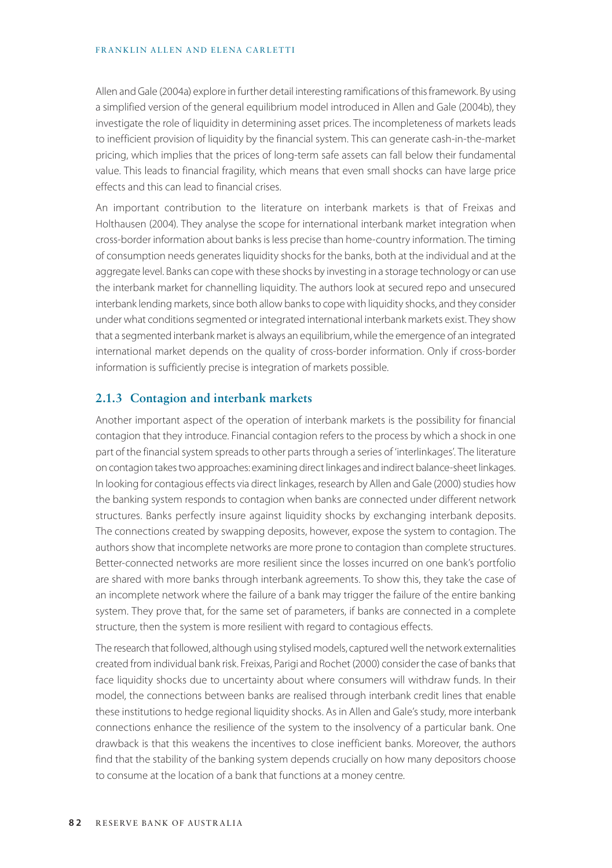Allen and Gale (2004a) explore in further detail interesting ramifications of this framework. By using a simplified version of the general equilibrium model introduced in Allen and Gale (2004b), they investigate the role of liquidity in determining asset prices. The incompleteness of markets leads to inefficient provision of liquidity by the financial system. This can generate cash-in-the-market pricing, which implies that the prices of long-term safe assets can fall below their fundamental value. This leads to financial fragility, which means that even small shocks can have large price effects and this can lead to financial crises.

An important contribution to the literature on interbank markets is that of Freixas and Holthausen (2004). They analyse the scope for international interbank market integration when cross-border information about banks is less precise than home-country information. The timing of consumption needs generates liquidity shocks for the banks, both at the individual and at the aggregate level. Banks can cope with these shocks by investing in a storage technology or can use the interbank market for channelling liquidity. The authors look at secured repo and unsecured interbank lending markets, since both allow banks to cope with liquidity shocks, and they consider under what conditions segmented or integrated international interbank markets exist. They show that a segmented interbank market is always an equilibrium, while the emergence of an integrated international market depends on the quality of cross-border information. Only if cross-border information is sufficiently precise is integration of markets possible.

### **2.1.3 Contagion and interbank markets**

Another important aspect of the operation of interbank markets is the possibility for financial contagion that they introduce. Financial contagion refers to the process by which a shock in one part of the financial system spreads to other parts through a series of 'interlinkages'. The literature on contagion takes two approaches: examining direct linkages and indirect balance-sheet linkages. In looking for contagious effects via direct linkages, research by Allen and Gale (2000) studies how the banking system responds to contagion when banks are connected under different network structures. Banks perfectly insure against liquidity shocks by exchanging interbank deposits. The connections created by swapping deposits, however, expose the system to contagion. The authors show that incomplete networks are more prone to contagion than complete structures. Better-connected networks are more resilient since the losses incurred on one bank's portfolio are shared with more banks through interbank agreements. To show this, they take the case of an incomplete network where the failure of a bank may trigger the failure of the entire banking system. They prove that, for the same set of parameters, if banks are connected in a complete structure, then the system is more resilient with regard to contagious effects.

The research that followed, although using stylised models, captured well the network externalities created from individual bank risk. Freixas, Parigi and Rochet (2000) consider the case of banks that face liquidity shocks due to uncertainty about where consumers will withdraw funds. In their model, the connections between banks are realised through interbank credit lines that enable these institutions to hedge regional liquidity shocks. As in Allen and Gale's study, more interbank connections enhance the resilience of the system to the insolvency of a particular bank. One drawback is that this weakens the incentives to close inefficient banks. Moreover, the authors find that the stability of the banking system depends crucially on how many depositors choose to consume at the location of a bank that functions at a money centre.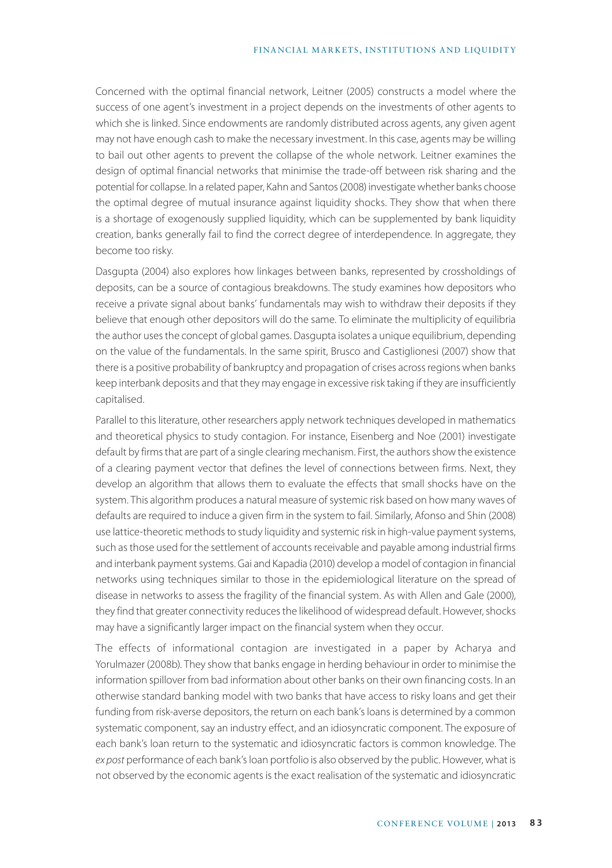Concerned with the optimal financial network, Leitner (2005) constructs a model where the success of one agent's investment in a project depends on the investments of other agents to which she is linked. Since endowments are randomly distributed across agents, any given agent may not have enough cash to make the necessary investment. In this case, agents may be willing to bail out other agents to prevent the collapse of the whole network. Leitner examines the design of optimal financial networks that minimise the trade-off between risk sharing and the potential for collapse. In a related paper, Kahn and Santos (2008) investigate whether banks choose the optimal degree of mutual insurance against liquidity shocks. They show that when there is a shortage of exogenously supplied liquidity, which can be supplemented by bank liquidity creation, banks generally fail to find the correct degree of interdependence. In aggregate, they become too risky.

Dasgupta (2004) also explores how linkages between banks, represented by crossholdings of deposits, can be a source of contagious breakdowns. The study examines how depositors who receive a private signal about banks' fundamentals may wish to withdraw their deposits if they believe that enough other depositors will do the same. To eliminate the multiplicity of equilibria the author uses the concept of global games. Dasgupta isolates a unique equilibrium, depending on the value of the fundamentals. In the same spirit, Brusco and Castiglionesi (2007) show that there is a positive probability of bankruptcy and propagation of crises across regions when banks keep interbank deposits and that they may engage in excessive risk taking if they are insufficiently capitalised.

Parallel to this literature, other researchers apply network techniques developed in mathematics and theoretical physics to study contagion. For instance, Eisenberg and Noe (2001) investigate default by firms that are part of a single clearing mechanism. First, the authors show the existence of a clearing payment vector that defines the level of connections between firms. Next, they develop an algorithm that allows them to evaluate the effects that small shocks have on the system. This algorithm produces a natural measure of systemic risk based on how many waves of defaults are required to induce a given firm in the system to fail. Similarly, Afonso and Shin (2008) use lattice-theoretic methods to study liquidity and systemic risk in high-value payment systems, such as those used for the settlement of accounts receivable and payable among industrial firms and interbank payment systems. Gai and Kapadia (2010) develop a model of contagion in financial networks using techniques similar to those in the epidemiological literature on the spread of disease in networks to assess the fragility of the financial system. As with Allen and Gale (2000), they find that greater connectivity reduces the likelihood of widespread default. However, shocks may have a significantly larger impact on the financial system when they occur.

The effects of informational contagion are investigated in a paper by Acharya and Yorulmazer (2008b). They show that banks engage in herding behaviour in order to minimise the information spillover from bad information about other banks on their own financing costs. In an otherwise standard banking model with two banks that have access to risky loans and get their funding from risk-averse depositors, the return on each bank's loans is determined by a common systematic component, say an industry effect, and an idiosyncratic component. The exposure of each bank's loan return to the systematic and idiosyncratic factors is common knowledge. The *ex post* performance of each bank's loan portfolio is also observed by the public. However, what is not observed by the economic agents is the exact realisation of the systematic and idiosyncratic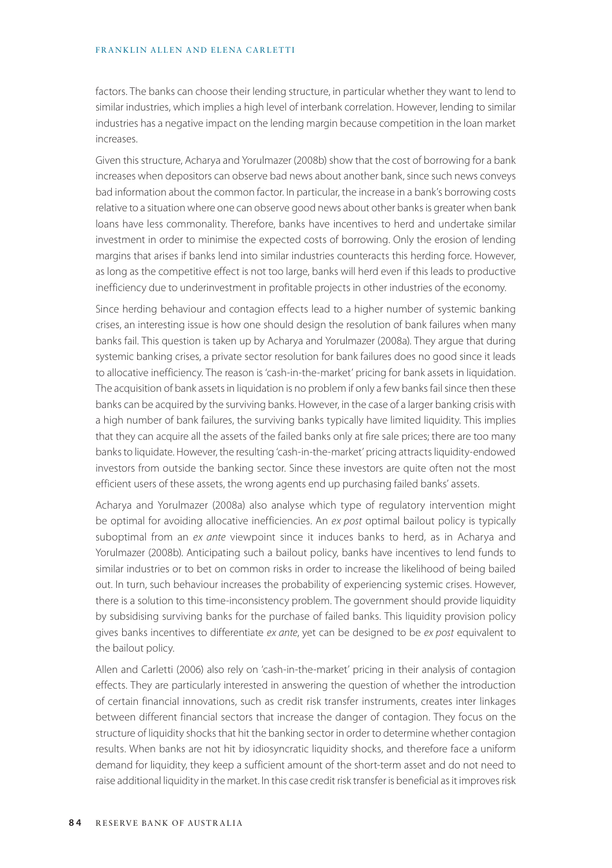factors. The banks can choose their lending structure, in particular whether they want to lend to similar industries, which implies a high level of interbank correlation. However, lending to similar industries has a negative impact on the lending margin because competition in the loan market increases.

Given this structure, Acharya and Yorulmazer (2008b) show that the cost of borrowing for a bank increases when depositors can observe bad news about another bank, since such news conveys bad information about the common factor. In particular, the increase in a bank's borrowing costs relative to a situation where one can observe good news about other banks is greater when bank loans have less commonality. Therefore, banks have incentives to herd and undertake similar investment in order to minimise the expected costs of borrowing. Only the erosion of lending margins that arises if banks lend into similar industries counteracts this herding force. However, as long as the competitive effect is not too large, banks will herd even if this leads to productive inefficiency due to underinvestment in profitable projects in other industries of the economy.

Since herding behaviour and contagion effects lead to a higher number of systemic banking crises, an interesting issue is how one should design the resolution of bank failures when many banks fail. This question is taken up by Acharya and Yorulmazer (2008a). They argue that during systemic banking crises, a private sector resolution for bank failures does no good since it leads to allocative inefficiency. The reason is 'cash-in-the-market' pricing for bank assets in liquidation. The acquisition of bank assets in liquidation is no problem if only a few banks fail since then these banks can be acquired by the surviving banks. However, in the case of a larger banking crisis with a high number of bank failures, the surviving banks typically have limited liquidity. This implies that they can acquire all the assets of the failed banks only at fire sale prices; there are too many banks to liquidate. However, the resulting 'cash-in-the-market' pricing attracts liquidity-endowed investors from outside the banking sector. Since these investors are quite often not the most efficient users of these assets, the wrong agents end up purchasing failed banks' assets.

Acharya and Yorulmazer (2008a) also analyse which type of regulatory intervention might be optimal for avoiding allocative inefficiencies. An *ex post* optimal bailout policy is typically suboptimal from an *ex ante* viewpoint since it induces banks to herd, as in Acharya and Yorulmazer (2008b). Anticipating such a bailout policy, banks have incentives to lend funds to similar industries or to bet on common risks in order to increase the likelihood of being bailed out. In turn, such behaviour increases the probability of experiencing systemic crises. However, there is a solution to this time-inconsistency problem. The government should provide liquidity by subsidising surviving banks for the purchase of failed banks. This liquidity provision policy gives banks incentives to differentiate *ex ante*, yet can be designed to be *ex post* equivalent to the bailout policy.

Allen and Carletti (2006) also rely on 'cash-in-the-market' pricing in their analysis of contagion effects. They are particularly interested in answering the question of whether the introduction of certain financial innovations, such as credit risk transfer instruments, creates inter linkages between different financial sectors that increase the danger of contagion. They focus on the structure of liquidity shocks that hit the banking sector in order to determine whether contagion results. When banks are not hit by idiosyncratic liquidity shocks, and therefore face a uniform demand for liquidity, they keep a sufficient amount of the short-term asset and do not need to raise additional liquidity in the market. In this case credit risk transfer is beneficial as it improves risk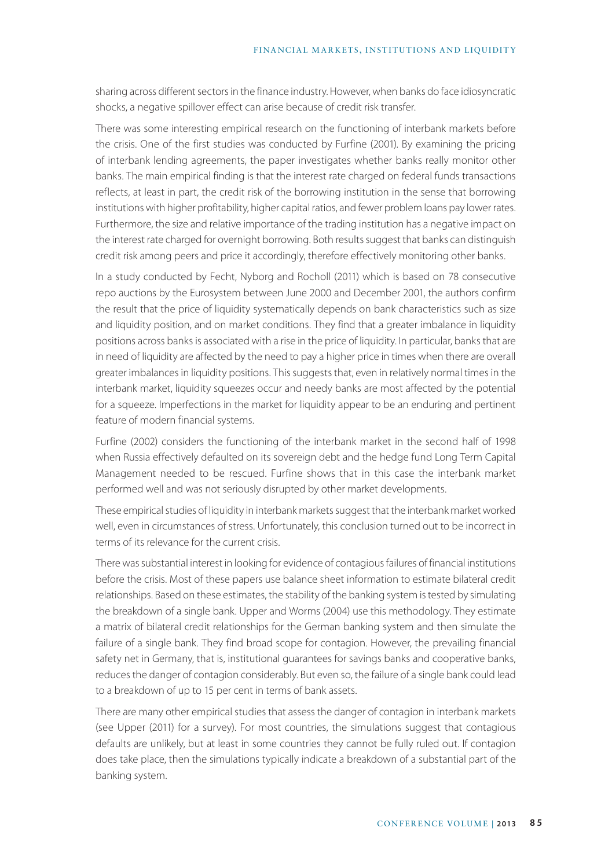sharing across different sectors in the finance industry. However, when banks do face idiosyncratic shocks, a negative spillover effect can arise because of credit risk transfer.

There was some interesting empirical research on the functioning of interbank markets before the crisis. One of the first studies was conducted by Furfine (2001). By examining the pricing of interbank lending agreements, the paper investigates whether banks really monitor other banks. The main empirical finding is that the interest rate charged on federal funds transactions reflects, at least in part, the credit risk of the borrowing institution in the sense that borrowing institutions with higher profitability, higher capital ratios, and fewer problem loans pay lower rates. Furthermore, the size and relative importance of the trading institution has a negative impact on the interest rate charged for overnight borrowing. Both results suggest that banks can distinguish credit risk among peers and price it accordingly, therefore effectively monitoring other banks.

In a study conducted by Fecht, Nyborg and Rocholl (2011) which is based on 78 consecutive repo auctions by the Eurosystem between June 2000 and December 2001, the authors confirm the result that the price of liquidity systematically depends on bank characteristics such as size and liquidity position, and on market conditions. They find that a greater imbalance in liquidity positions across banks is associated with a rise in the price of liquidity. In particular, banks that are in need of liquidity are affected by the need to pay a higher price in times when there are overall greater imbalances in liquidity positions. This suggests that, even in relatively normal times in the interbank market, liquidity squeezes occur and needy banks are most affected by the potential for a squeeze. Imperfections in the market for liquidity appear to be an enduring and pertinent feature of modern financial systems.

Furfine (2002) considers the functioning of the interbank market in the second half of 1998 when Russia effectively defaulted on its sovereign debt and the hedge fund Long Term Capital Management needed to be rescued. Furfine shows that in this case the interbank market performed well and was not seriously disrupted by other market developments.

These empirical studies of liquidity in interbank markets suggest that the interbank market worked well, even in circumstances of stress. Unfortunately, this conclusion turned out to be incorrect in terms of its relevance for the current crisis.

There was substantial interest in looking for evidence of contagious failures of financial institutions before the crisis. Most of these papers use balance sheet information to estimate bilateral credit relationships. Based on these estimates, the stability of the banking system is tested by simulating the breakdown of a single bank. Upper and Worms (2004) use this methodology. They estimate a matrix of bilateral credit relationships for the German banking system and then simulate the failure of a single bank. They find broad scope for contagion. However, the prevailing financial safety net in Germany, that is, institutional guarantees for savings banks and cooperative banks, reduces the danger of contagion considerably. But even so, the failure of a single bank could lead to a breakdown of up to 15 per cent in terms of bank assets.

There are many other empirical studies that assess the danger of contagion in interbank markets (see Upper (2011) for a survey). For most countries, the simulations suggest that contagious defaults are unlikely, but at least in some countries they cannot be fully ruled out. If contagion does take place, then the simulations typically indicate a breakdown of a substantial part of the banking system.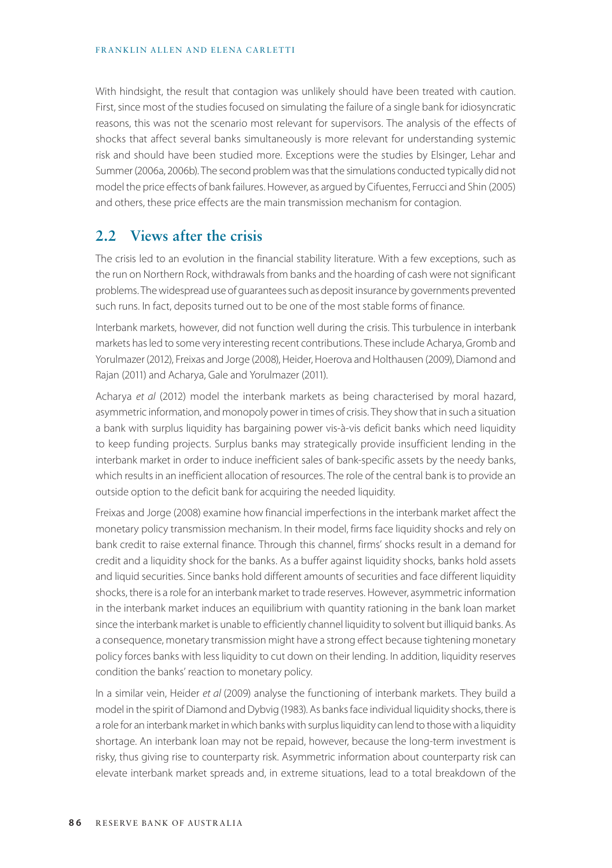With hindsight, the result that contagion was unlikely should have been treated with caution. First, since most of the studies focused on simulating the failure of a single bank for idiosyncratic reasons, this was not the scenario most relevant for supervisors. The analysis of the effects of shocks that affect several banks simultaneously is more relevant for understanding systemic risk and should have been studied more. Exceptions were the studies by Elsinger, Lehar and Summer (2006a, 2006b). The second problem was that the simulations conducted typically did not model the price effects of bank failures. However, as argued by Cifuentes, Ferrucci and Shin (2005) and others, these price effects are the main transmission mechanism for contagion.

# **2.2 Views after the crisis**

The crisis led to an evolution in the financial stability literature. With a few exceptions, such as the run on Northern Rock, withdrawals from banks and the hoarding of cash were not significant problems. The widespread use of guarantees such as deposit insurance by governments prevented such runs. In fact, deposits turned out to be one of the most stable forms of finance.

Interbank markets, however, did not function well during the crisis. This turbulence in interbank markets has led to some very interesting recent contributions. These include Acharya, Gromb and Yorulmazer (2012), Freixas and Jorge (2008), Heider, Hoerova and Holthausen (2009), Diamond and Rajan (2011) and Acharya, Gale and Yorulmazer (2011).

Acharya *et al* (2012) model the interbank markets as being characterised by moral hazard, asymmetric information, and monopoly power in times of crisis. They show that in such a situation a bank with surplus liquidity has bargaining power vis-à-vis deficit banks which need liquidity to keep funding projects. Surplus banks may strategically provide insufficient lending in the interbank market in order to induce inefficient sales of bank-specific assets by the needy banks, which results in an inefficient allocation of resources. The role of the central bank is to provide an outside option to the deficit bank for acquiring the needed liquidity.

Freixas and Jorge (2008) examine how financial imperfections in the interbank market affect the monetary policy transmission mechanism. In their model, firms face liquidity shocks and rely on bank credit to raise external finance. Through this channel, firms' shocks result in a demand for credit and a liquidity shock for the banks. As a buffer against liquidity shocks, banks hold assets and liquid securities. Since banks hold different amounts of securities and face different liquidity shocks, there is a role for an interbank market to trade reserves. However, asymmetric information in the interbank market induces an equilibrium with quantity rationing in the bank loan market since the interbank market is unable to efficiently channel liquidity to solvent but illiquid banks. As a consequence, monetary transmission might have a strong effect because tightening monetary policy forces banks with less liquidity to cut down on their lending. In addition, liquidity reserves condition the banks' reaction to monetary policy.

In a similar vein, Heider *et al* (2009) analyse the functioning of interbank markets. They build a model in the spirit of Diamond and Dybvig (1983). As banks face individual liquidity shocks, there is a role for an interbank market in which banks with surplus liquidity can lend to those with a liquidity shortage. An interbank loan may not be repaid, however, because the long-term investment is risky, thus giving rise to counterparty risk. Asymmetric information about counterparty risk can elevate interbank market spreads and, in extreme situations, lead to a total breakdown of the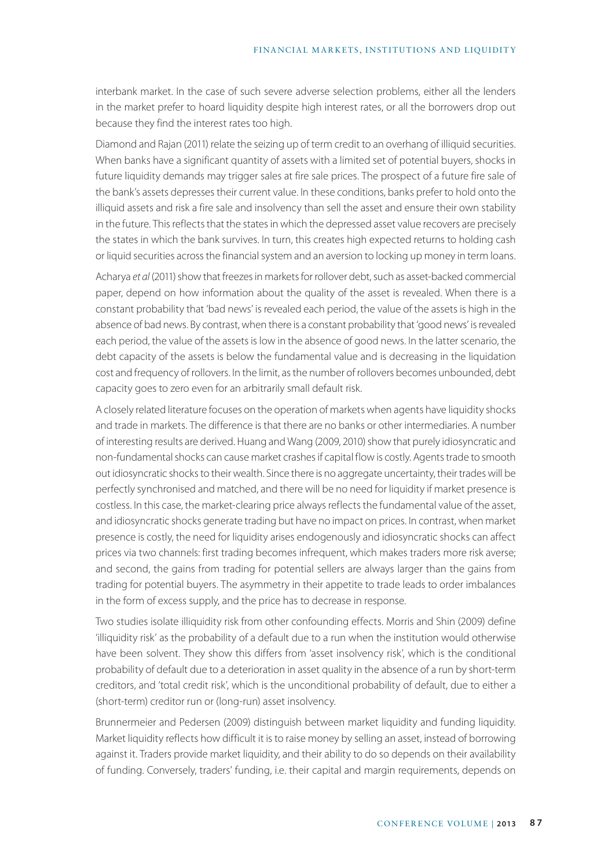interbank market. In the case of such severe adverse selection problems, either all the lenders in the market prefer to hoard liquidity despite high interest rates, or all the borrowers drop out because they find the interest rates too high.

Diamond and Rajan (2011) relate the seizing up of term credit to an overhang of illiquid securities. When banks have a significant quantity of assets with a limited set of potential buyers, shocks in future liquidity demands may trigger sales at fire sale prices. The prospect of a future fire sale of the bank's assets depresses their current value. In these conditions, banks prefer to hold onto the illiquid assets and risk a fire sale and insolvency than sell the asset and ensure their own stability in the future. This reflects that the states in which the depressed asset value recovers are precisely the states in which the bank survives. In turn, this creates high expected returns to holding cash or liquid securities across the financial system and an aversion to locking up money in term loans.

Acharya *et al* (2011) show that freezes in markets for rollover debt, such as asset-backed commercial paper, depend on how information about the quality of the asset is revealed. When there is a constant probability that 'bad news' is revealed each period, the value of the assets is high in the absence of bad news. By contrast, when there is a constant probability that 'good news' is revealed each period, the value of the assets is low in the absence of good news. In the latter scenario, the debt capacity of the assets is below the fundamental value and is decreasing in the liquidation cost and frequency of rollovers. In the limit, as the number of rollovers becomes unbounded, debt capacity goes to zero even for an arbitrarily small default risk.

A closely related literature focuses on the operation of markets when agents have liquidity shocks and trade in markets. The difference is that there are no banks or other intermediaries. A number of interesting results are derived. Huang and Wang (2009, 2010) show that purely idiosyncratic and non-fundamental shocks can cause market crashes if capital flow is costly. Agents trade to smooth out idiosyncratic shocks to their wealth. Since there is no aggregate uncertainty, their trades will be perfectly synchronised and matched, and there will be no need for liquidity if market presence is costless. In this case, the market-clearing price always reflects the fundamental value of the asset, and idiosyncratic shocks generate trading but have no impact on prices. In contrast, when market presence is costly, the need for liquidity arises endogenously and idiosyncratic shocks can affect prices via two channels: first trading becomes infrequent, which makes traders more risk averse; and second, the gains from trading for potential sellers are always larger than the gains from trading for potential buyers. The asymmetry in their appetite to trade leads to order imbalances in the form of excess supply, and the price has to decrease in response.

Two studies isolate illiquidity risk from other confounding effects. Morris and Shin (2009) define 'illiquidity risk' as the probability of a default due to a run when the institution would otherwise have been solvent. They show this differs from 'asset insolvency risk', which is the conditional probability of default due to a deterioration in asset quality in the absence of a run by short-term creditors, and 'total credit risk', which is the unconditional probability of default, due to either a (short-term) creditor run or (long-run) asset insolvency.

Brunnermeier and Pedersen (2009) distinguish between market liquidity and funding liquidity. Market liquidity reflects how difficult it is to raise money by selling an asset, instead of borrowing against it. Traders provide market liquidity, and their ability to do so depends on their availability of funding. Conversely, traders' funding, i.e. their capital and margin requirements, depends on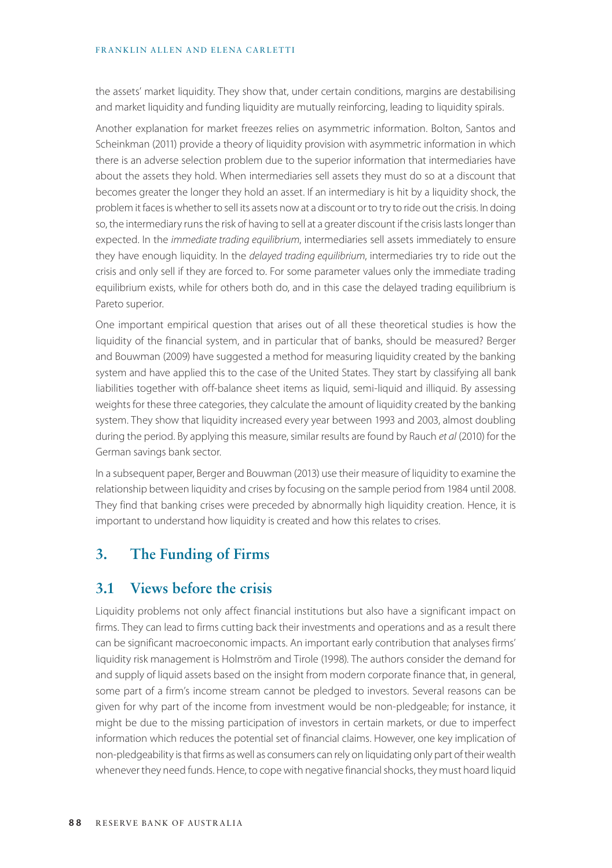the assets' market liquidity. They show that, under certain conditions, margins are destabilising and market liquidity and funding liquidity are mutually reinforcing, leading to liquidity spirals.

Another explanation for market freezes relies on asymmetric information. Bolton, Santos and Scheinkman (2011) provide a theory of liquidity provision with asymmetric information in which there is an adverse selection problem due to the superior information that intermediaries have about the assets they hold. When intermediaries sell assets they must do so at a discount that becomes greater the longer they hold an asset. If an intermediary is hit by a liquidity shock, the problem it faces is whether to sell its assets now at a discount or to try to ride out the crisis. In doing so, the intermediary runs the risk of having to sell at a greater discount if the crisis lasts longer than expected. In the *immediate trading equilibrium*, intermediaries sell assets immediately to ensure they have enough liquidity. In the *delayed trading equilibrium*, intermediaries try to ride out the crisis and only sell if they are forced to. For some parameter values only the immediate trading equilibrium exists, while for others both do, and in this case the delayed trading equilibrium is Pareto superior.

One important empirical question that arises out of all these theoretical studies is how the liquidity of the financial system, and in particular that of banks, should be measured? Berger and Bouwman (2009) have suggested a method for measuring liquidity created by the banking system and have applied this to the case of the United States. They start by classifying all bank liabilities together with off-balance sheet items as liquid, semi-liquid and illiquid. By assessing weights for these three categories, they calculate the amount of liquidity created by the banking system. They show that liquidity increased every year between 1993 and 2003, almost doubling during the period. By applying this measure, similar results are found by Rauch *et al* (2010) for the German savings bank sector.

In a subsequent paper, Berger and Bouwman (2013) use their measure of liquidity to examine the relationship between liquidity and crises by focusing on the sample period from 1984 until 2008. They find that banking crises were preceded by abnormally high liquidity creation. Hence, it is important to understand how liquidity is created and how this relates to crises.

# **3. The Funding of Firms**

# **3.1 Views before the crisis**

Liquidity problems not only affect financial institutions but also have a significant impact on firms. They can lead to firms cutting back their investments and operations and as a result there can be significant macroeconomic impacts. An important early contribution that analyses firms' liquidity risk management is Holmström and Tirole (1998). The authors consider the demand for and supply of liquid assets based on the insight from modern corporate finance that, in general, some part of a firm's income stream cannot be pledged to investors. Several reasons can be given for why part of the income from investment would be non-pledgeable; for instance, it might be due to the missing participation of investors in certain markets, or due to imperfect information which reduces the potential set of financial claims. However, one key implication of non-pledgeability is that firms as well as consumers can rely on liquidating only part of their wealth whenever they need funds. Hence, to cope with negative financial shocks, they must hoard liquid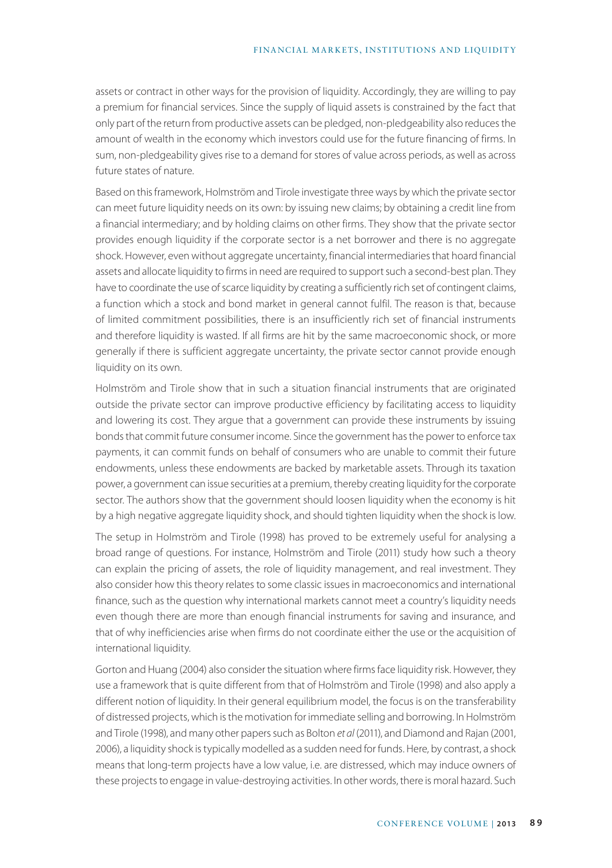assets or contract in other ways for the provision of liquidity. Accordingly, they are willing to pay a premium for financial services. Since the supply of liquid assets is constrained by the fact that only part of the return from productive assets can be pledged, non-pledgeability also reduces the amount of wealth in the economy which investors could use for the future financing of firms. In sum, non-pledgeability gives rise to a demand for stores of value across periods, as well as across future states of nature.

Based on this framework, Holmström and Tirole investigate three ways by which the private sector can meet future liquidity needs on its own: by issuing new claims; by obtaining a credit line from a financial intermediary; and by holding claims on other firms. They show that the private sector provides enough liquidity if the corporate sector is a net borrower and there is no aggregate shock. However, even without aggregate uncertainty, financial intermediaries that hoard financial assets and allocate liquidity to firms in need are required to support such a second-best plan. They have to coordinate the use of scarce liquidity by creating a sufficiently rich set of contingent claims, a function which a stock and bond market in general cannot fulfil. The reason is that, because of limited commitment possibilities, there is an insufficiently rich set of financial instruments and therefore liquidity is wasted. If all firms are hit by the same macroeconomic shock, or more generally if there is sufficient aggregate uncertainty, the private sector cannot provide enough liquidity on its own.

Holmström and Tirole show that in such a situation financial instruments that are originated outside the private sector can improve productive efficiency by facilitating access to liquidity and lowering its cost. They argue that a government can provide these instruments by issuing bonds that commit future consumer income. Since the government has the power to enforce tax payments, it can commit funds on behalf of consumers who are unable to commit their future endowments, unless these endowments are backed by marketable assets. Through its taxation power, a government can issue securities at a premium, thereby creating liquidity for the corporate sector. The authors show that the government should loosen liquidity when the economy is hit by a high negative aggregate liquidity shock, and should tighten liquidity when the shock is low.

The setup in Holmström and Tirole (1998) has proved to be extremely useful for analysing a broad range of questions. For instance, Holmström and Tirole (2011) study how such a theory can explain the pricing of assets, the role of liquidity management, and real investment. They also consider how this theory relates to some classic issues in macroeconomics and international finance, such as the question why international markets cannot meet a country's liquidity needs even though there are more than enough financial instruments for saving and insurance, and that of why inefficiencies arise when firms do not coordinate either the use or the acquisition of international liquidity.

Gorton and Huang (2004) also consider the situation where firms face liquidity risk. However, they use a framework that is quite different from that of Holmström and Tirole (1998) and also apply a different notion of liquidity. In their general equilibrium model, the focus is on the transferability of distressed projects, which is the motivation for immediate selling and borrowing. In Holmström and Tirole (1998), and many other papers such as Bolton *et al* (2011), and Diamond and Rajan (2001, 2006), a liquidity shock is typically modelled as a sudden need for funds. Here, by contrast, a shock means that long-term projects have a low value, i.e. are distressed, which may induce owners of these projects to engage in value-destroying activities. In other words, there is moral hazard. Such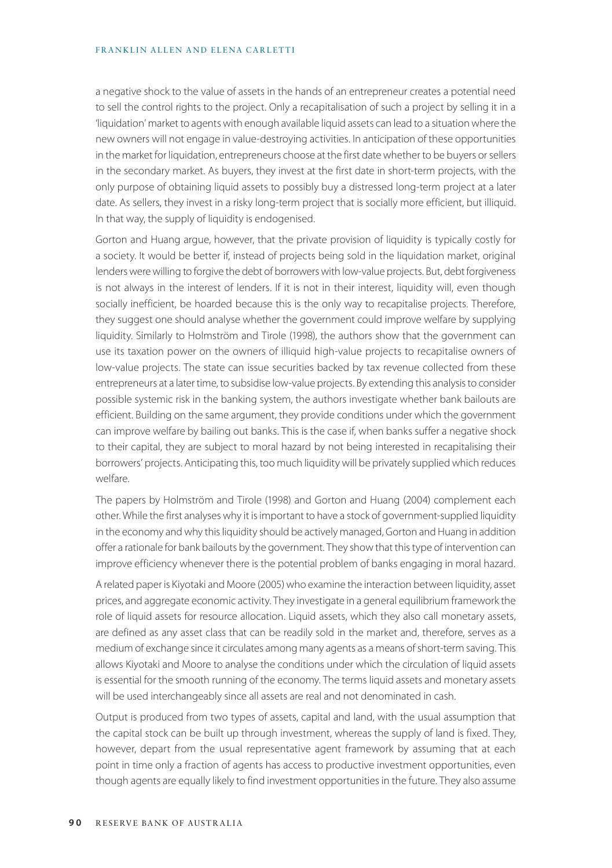a negative shock to the value of assets in the hands of an entrepreneur creates a potential need to sell the control rights to the project. Only a recapitalisation of such a project by selling it in a 'liquidation' market to agents with enough available liquid assets can lead to a situation where the new owners will not engage in value-destroying activities. In anticipation of these opportunities in the market for liquidation, entrepreneurs choose at the first date whether to be buyers or sellers in the secondary market. As buyers, they invest at the first date in short-term projects, with the only purpose of obtaining liquid assets to possibly buy a distressed long-term project at a later date. As sellers, they invest in a risky long-term project that is socially more efficient, but illiquid. In that way, the supply of liquidity is endogenised.

Gorton and Huang argue, however, that the private provision of liquidity is typically costly for a society. It would be better if, instead of projects being sold in the liquidation market, original lenders were willing to forgive the debt of borrowers with low-value projects. But, debt forgiveness is not always in the interest of lenders. If it is not in their interest, liquidity will, even though socially inefficient, be hoarded because this is the only way to recapitalise projects. Therefore, they suggest one should analyse whether the government could improve welfare by supplying liquidity. Similarly to Holmström and Tirole (1998), the authors show that the government can use its taxation power on the owners of illiquid high-value projects to recapitalise owners of low-value projects. The state can issue securities backed by tax revenue collected from these entrepreneurs at a later time, to subsidise low-value projects. By extending this analysis to consider possible systemic risk in the banking system, the authors investigate whether bank bailouts are efficient. Building on the same argument, they provide conditions under which the government can improve welfare by bailing out banks. This is the case if, when banks suffer a negative shock to their capital, they are subject to moral hazard by not being interested in recapitalising their borrowers' projects. Anticipating this, too much liquidity will be privately supplied which reduces welfare.

The papers by Holmström and Tirole (1998) and Gorton and Huang (2004) complement each other. While the first analyses why it is important to have a stock of government-supplied liquidity in the economy and why this liquidity should be actively managed, Gorton and Huang in addition offer a rationale for bank bailouts by the government. They show that this type of intervention can improve efficiency whenever there is the potential problem of banks engaging in moral hazard.

A related paper is Kiyotaki and Moore (2005) who examine the interaction between liquidity, asset prices, and aggregate economic activity. They investigate in a general equilibrium framework the role of liquid assets for resource allocation. Liquid assets, which they also call monetary assets, are defined as any asset class that can be readily sold in the market and, therefore, serves as a medium of exchange since it circulates among many agents as a means of short-term saving. This allows Kiyotaki and Moore to analyse the conditions under which the circulation of liquid assets is essential for the smooth running of the economy. The terms liquid assets and monetary assets will be used interchangeably since all assets are real and not denominated in cash.

Output is produced from two types of assets, capital and land, with the usual assumption that the capital stock can be built up through investment, whereas the supply of land is fixed. They, however, depart from the usual representative agent framework by assuming that at each point in time only a fraction of agents has access to productive investment opportunities, even though agents are equally likely to find investment opportunities in the future. They also assume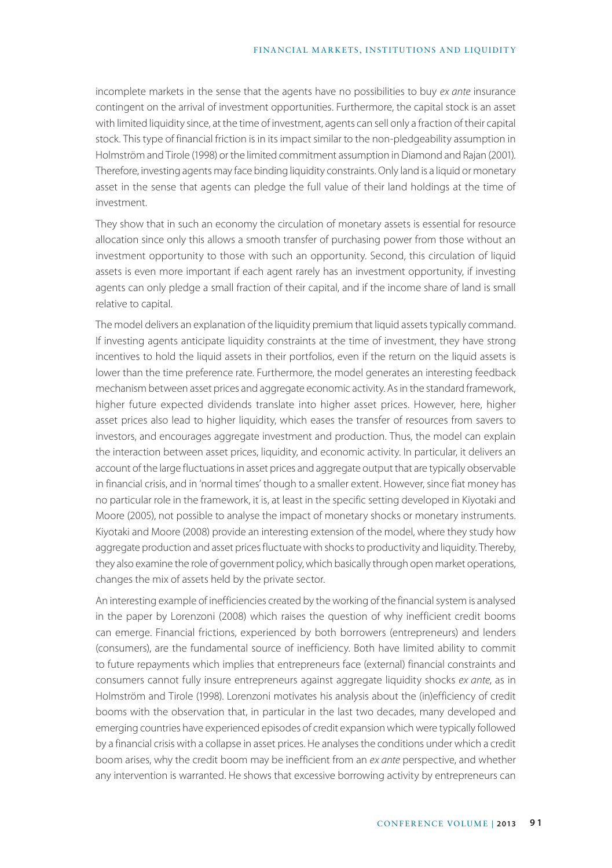incomplete markets in the sense that the agents have no possibilities to buy *ex ante* insurance contingent on the arrival of investment opportunities. Furthermore, the capital stock is an asset with limited liquidity since, at the time of investment, agents can sell only a fraction of their capital stock. This type of financial friction is in its impact similar to the non-pledgeability assumption in Holmström and Tirole (1998) or the limited commitment assumption in Diamond and Rajan (2001). Therefore, investing agents may face binding liquidity constraints. Only land is a liquid or monetary asset in the sense that agents can pledge the full value of their land holdings at the time of investment.

They show that in such an economy the circulation of monetary assets is essential for resource allocation since only this allows a smooth transfer of purchasing power from those without an investment opportunity to those with such an opportunity. Second, this circulation of liquid assets is even more important if each agent rarely has an investment opportunity, if investing agents can only pledge a small fraction of their capital, and if the income share of land is small relative to capital.

The model delivers an explanation of the liquidity premium that liquid assets typically command. If investing agents anticipate liquidity constraints at the time of investment, they have strong incentives to hold the liquid assets in their portfolios, even if the return on the liquid assets is lower than the time preference rate. Furthermore, the model generates an interesting feedback mechanism between asset prices and aggregate economic activity. As in the standard framework, higher future expected dividends translate into higher asset prices. However, here, higher asset prices also lead to higher liquidity, which eases the transfer of resources from savers to investors, and encourages aggregate investment and production. Thus, the model can explain the interaction between asset prices, liquidity, and economic activity. In particular, it delivers an account of the large fluctuations in asset prices and aggregate output that are typically observable in financial crisis, and in 'normal times' though to a smaller extent. However, since fiat money has no particular role in the framework, it is, at least in the specific setting developed in Kiyotaki and Moore (2005), not possible to analyse the impact of monetary shocks or monetary instruments. Kiyotaki and Moore (2008) provide an interesting extension of the model, where they study how aggregate production and asset prices fluctuate with shocks to productivity and liquidity. Thereby, they also examine the role of government policy, which basically through open market operations, changes the mix of assets held by the private sector.

An interesting example of inefficiencies created by the working of the financial system is analysed in the paper by Lorenzoni (2008) which raises the question of why inefficient credit booms can emerge. Financial frictions, experienced by both borrowers (entrepreneurs) and lenders (consumers), are the fundamental source of inefficiency. Both have limited ability to commit to future repayments which implies that entrepreneurs face (external) financial constraints and consumers cannot fully insure entrepreneurs against aggregate liquidity shocks *ex ante*, as in Holmström and Tirole (1998). Lorenzoni motivates his analysis about the (in)efficiency of credit booms with the observation that, in particular in the last two decades, many developed and emerging countries have experienced episodes of credit expansion which were typically followed by a financial crisis with a collapse in asset prices. He analyses the conditions under which a credit boom arises, why the credit boom may be inefficient from an *ex ante* perspective, and whether any intervention is warranted. He shows that excessive borrowing activity by entrepreneurs can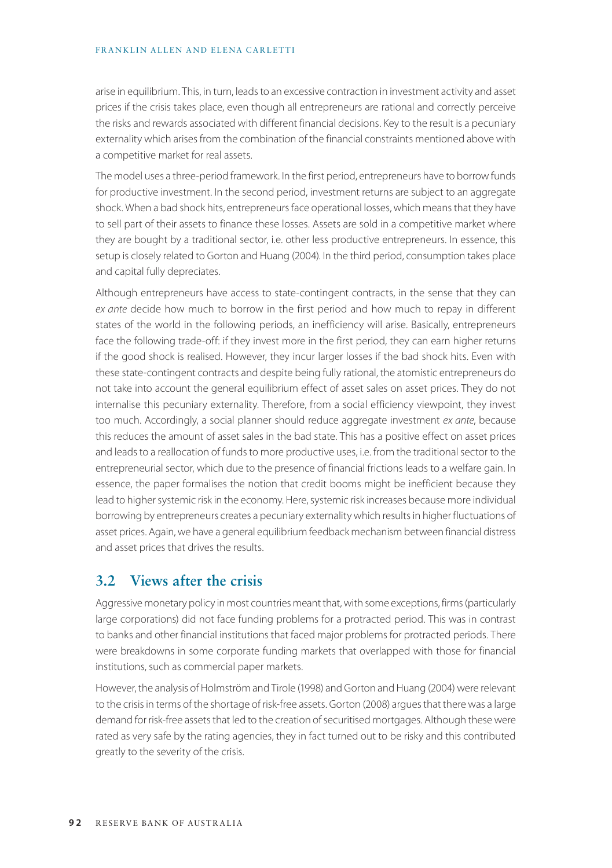arise in equilibrium. This, in turn, leads to an excessive contraction in investment activity and asset prices if the crisis takes place, even though all entrepreneurs are rational and correctly perceive the risks and rewards associated with different financial decisions. Key to the result is a pecuniary externality which arises from the combination of the financial constraints mentioned above with a competitive market for real assets.

The model uses a three-period framework. In the first period, entrepreneurs have to borrow funds for productive investment. In the second period, investment returns are subject to an aggregate shock. When a bad shock hits, entrepreneurs face operational losses, which means that they have to sell part of their assets to finance these losses. Assets are sold in a competitive market where they are bought by a traditional sector, i.e. other less productive entrepreneurs. In essence, this setup is closely related to Gorton and Huang (2004). In the third period, consumption takes place and capital fully depreciates.

Although entrepreneurs have access to state-contingent contracts, in the sense that they can *ex ante* decide how much to borrow in the first period and how much to repay in different states of the world in the following periods, an inefficiency will arise. Basically, entrepreneurs face the following trade-off: if they invest more in the first period, they can earn higher returns if the good shock is realised. However, they incur larger losses if the bad shock hits. Even with these state-contingent contracts and despite being fully rational, the atomistic entrepreneurs do not take into account the general equilibrium effect of asset sales on asset prices. They do not internalise this pecuniary externality. Therefore, from a social efficiency viewpoint, they invest too much. Accordingly, a social planner should reduce aggregate investment *ex ante*, because this reduces the amount of asset sales in the bad state. This has a positive effect on asset prices and leads to a reallocation of funds to more productive uses, i.e. from the traditional sector to the entrepreneurial sector, which due to the presence of financial frictions leads to a welfare gain. In essence, the paper formalises the notion that credit booms might be inefficient because they lead to higher systemic risk in the economy. Here, systemic risk increases because more individual borrowing by entrepreneurs creates a pecuniary externality which results in higher fluctuations of asset prices. Again, we have a general equilibrium feedback mechanism between financial distress and asset prices that drives the results.

## **3.2 Views after the crisis**

Aggressive monetary policy in most countries meant that, with some exceptions, firms (particularly large corporations) did not face funding problems for a protracted period. This was in contrast to banks and other financial institutions that faced major problems for protracted periods. There were breakdowns in some corporate funding markets that overlapped with those for financial institutions, such as commercial paper markets.

However, the analysis of Holmström and Tirole (1998) and Gorton and Huang (2004) were relevant to the crisis in terms of the shortage of risk-free assets. Gorton (2008) argues that there was a large demand for risk-free assets that led to the creation of securitised mortgages. Although these were rated as very safe by the rating agencies, they in fact turned out to be risky and this contributed greatly to the severity of the crisis.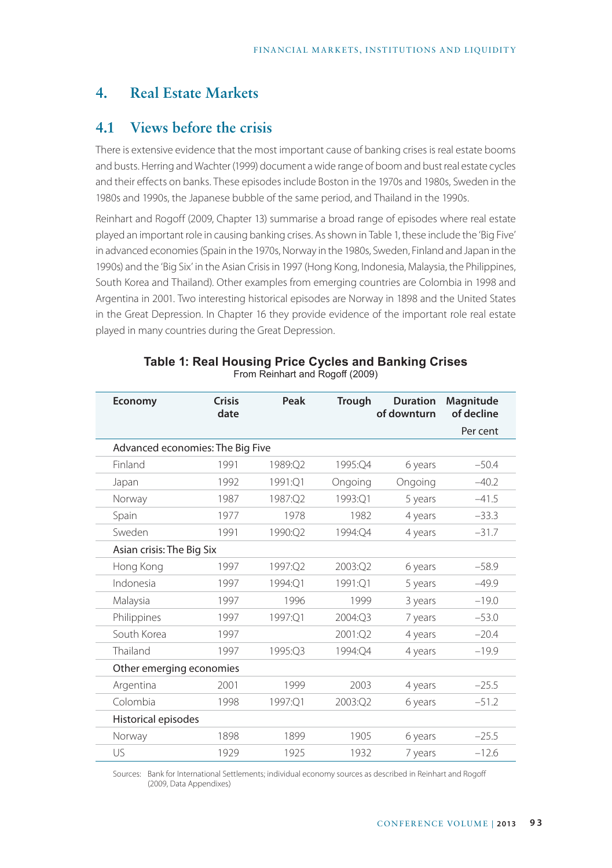# **4. Real Estate Markets**

# **4.1 Views before the crisis**

There is extensive evidence that the most important cause of banking crises is real estate booms and busts. Herring and Wachter (1999) document a wide range of boom and bust real estate cycles and their effects on banks. These episodes include Boston in the 1970s and 1980s, Sweden in the 1980s and 1990s, the Japanese bubble of the same period, and Thailand in the 1990s.

Reinhart and Rogoff (2009, Chapter 13) summarise a broad range of episodes where real estate played an important role in causing banking crises. As shown in Table 1, these include the 'Big Five' in advanced economies (Spain in the 1970s, Norway in the 1980s, Sweden, Finland and Japan in the 1990s) and the 'Big Six' in the Asian Crisis in 1997 (Hong Kong, Indonesia, Malaysia, the Philippines, South Korea and Thailand). Other examples from emerging countries are Colombia in 1998 and Argentina in 2001. Two interesting historical episodes are Norway in 1898 and the United States in the Great Depression. In Chapter 16 they provide evidence of the important role real estate played in many countries during the Great Depression.

| <b>Economy</b>                   | <b>Crisis</b><br>date | Peak    | <b>Trough</b> | <b>Duration</b><br>of downturn | Magnitude<br>of decline |
|----------------------------------|-----------------------|---------|---------------|--------------------------------|-------------------------|
|                                  |                       |         |               |                                | Per cent                |
| Advanced economies: The Big Five |                       |         |               |                                |                         |
| Finland                          | 1991                  | 1989:Q2 | 1995:Q4       | 6 years                        | $-50.4$                 |
| Japan                            | 1992                  | 1991:01 | Ongoing       | Ongoing                        | $-40.2$                 |
| Norway                           | 1987                  | 1987:02 | 1993:01       | 5 years                        | $-41.5$                 |
| Spain                            | 1977                  | 1978    | 1982          | 4 years                        | $-33.3$                 |
| Sweden                           | 1991                  | 1990:Q2 | 1994:04       | 4 years                        | $-31.7$                 |
| Asian crisis: The Big Six        |                       |         |               |                                |                         |
| Hong Kong                        | 1997                  | 1997:Q2 | 2003:Q2       | 6 years                        | $-58.9$                 |
| Indonesia                        | 1997                  | 1994:01 | 1991:Q1       | 5 years                        | $-49.9$                 |
| Malaysia                         | 1997                  | 1996    | 1999          | 3 years                        | $-19.0$                 |
| Philippines                      | 1997                  | 1997:Q1 | 2004:Q3       | 7 years                        | $-53.0$                 |
| South Korea                      | 1997                  |         | 2001:Q2       | 4 years                        | $-20.4$                 |
| Thailand                         | 1997                  | 1995:03 | 1994:04       | 4 years                        | $-19.9$                 |
| Other emerging economies         |                       |         |               |                                |                         |
| Argentina                        | 2001                  | 1999    | 2003          | 4 years                        | $-25.5$                 |
| Colombia                         | 1998                  | 1997:Q1 | 2003:Q2       | 6 years                        | $-51.2$                 |
| Historical episodes              |                       |         |               |                                |                         |
| Norway                           | 1898                  | 1899    | 1905          | 6 years                        | $-25.5$                 |
| US                               | 1929                  | 1925    | 1932          | 7 years                        | $-12.6$                 |

### **Table 1: Real Housing Price Cycles and Banking Crises** From Reinhart and Rogoff (2009)

Sources: Bank for International Settlements; individual economy sources as described in Reinhart and Rogoff (2009, Data Appendixes)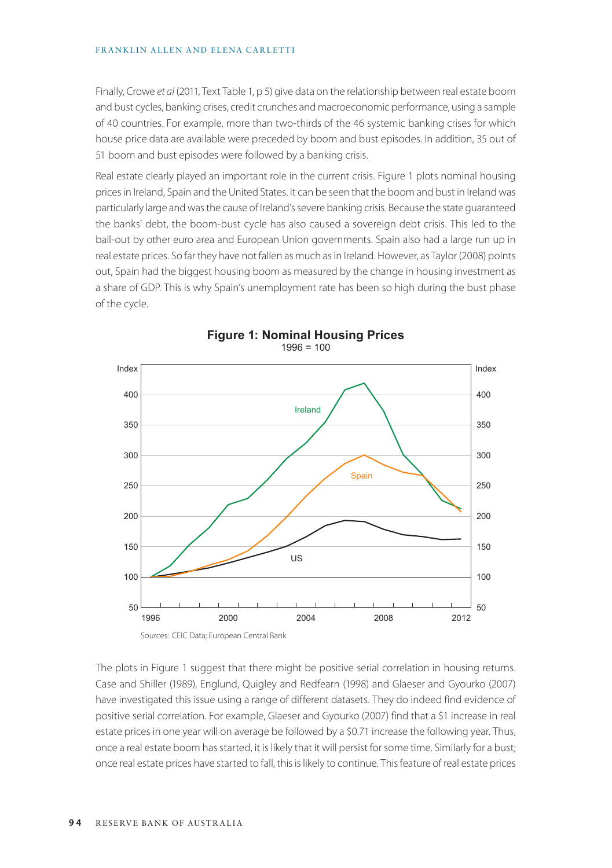Finally, Crowe *et al* (2011, Text Table 1, p 5) give data on the relationship between real estate boom and bust cycles, banking crises, credit crunches and macroeconomic performance, using a sample of 40 countries. For example, more than two-thirds of the 46 systemic banking crises for which house price data are available were preceded by boom and bust episodes. In addition, 35 out of 51 boom and bust episodes were followed by a banking crisis.

Real estate clearly played an important role in the current crisis. Figure 1 plots nominal housing prices in Ireland, Spain and the United States. It can be seen that the boom and bust in Ireland was particularly large and was the cause of Ireland's severe banking crisis. Because the state guaranteed the banks' debt, the boom-bust cycle has also caused a sovereign debt crisis. This led to the bail-out by other euro area and European Union governments. Spain also had a large run up in real estate prices. So far they have not fallen as much as in Ireland. However, as Taylor (2008) points out, Spain had the biggest housing boom as measured by the change in housing investment as a share of GDP. This is why Spain's unemployment rate has been so high during the bust phase of the cycle.





The plots in Figure 1 suggest that there might be positive serial correlation in housing returns. Case and Shiller (1989), Englund, Quigley and Redfearn (1998) and Glaeser and Gyourko (2007) have investigated this issue using a range of different datasets. They do indeed find evidence of positive serial correlation. For example, Glaeser and Gyourko (2007) find that a \$1 increase in real estate prices in one year will on average be followed by a \$0.71 increase the following year. Thus, once a real estate boom has started, it is likely that it will persist for some time. Similarly for a bust; once real estate prices have started to fall, this is likely to continue. This feature of real estate prices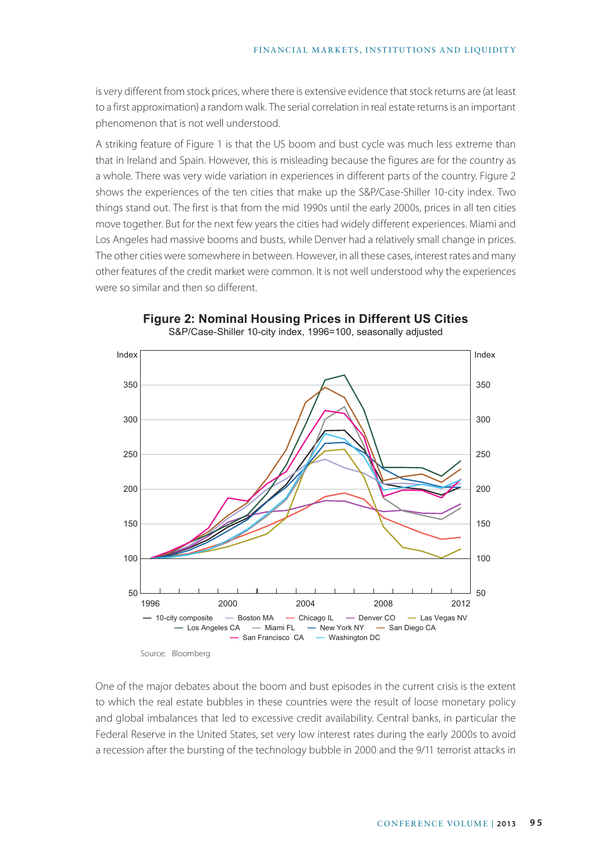is very different from stock prices, where there is extensive evidence that stock returns are (at least to a first approximation) a random walk. The serial correlation in real estate returns is an important phenomenon that is not well understood.

A striking feature of Figure 1 is that the US boom and bust cycle was much less extreme than that in Ireland and Spain. However, this is misleading because the figures are for the country as a whole. There was very wide variation in experiences in different parts of the country. Figure 2 shows the experiences of the ten cities that make up the S&P/Case-Shiller 10-city index. Two things stand out. The first is that from the mid 1990s until the early 2000s, prices in all ten cities move together. But for the next few years the cities had widely different experiences. Miami and Los Angeles had massive booms and busts, while Denver had a relatively small change in prices. The other cities were somewhere in between. However, in all these cases, interest rates and many other features of the credit market were common. It is not well understood why the experiences were so similar and then so different.





One of the major debates about the boom and bust episodes in the current crisis is the extent to which the real estate bubbles in these countries were the result of loose monetary policy and global imbalances that led to excessive credit availability. Central banks, in particular the Federal Reserve in the United States, set very low interest rates during the early 2000s to avoid a recession after the bursting of the technology bubble in 2000 and the 9/11 terrorist attacks in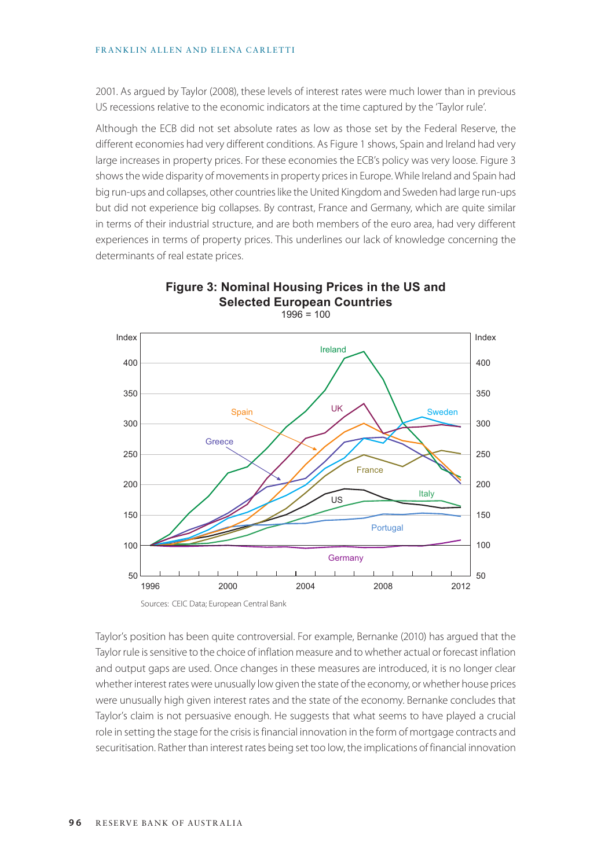2001. As argued by Taylor (2008), these levels of interest rates were much lower than in previous US recessions relative to the economic indicators at the time captured by the 'Taylor rule'.

Although the ECB did not set absolute rates as low as those set by the Federal Reserve, the different economies had very different conditions. As Figure 1 shows, Spain and Ireland had very large increases in property prices. For these economies the ECB's policy was very loose. Figure 3 shows the wide disparity of movements in property prices in Europe. While Ireland and Spain had big run-ups and collapses, other countries like the United Kingdom and Sweden had large run-ups but did not experience big collapses. By contrast, France and Germany, which are quite similar in terms of their industrial structure, and are both members of the euro area, had very different experiences in terms of property prices. This underlines our lack of knowledge concerning the determinants of real estate prices.



**Figure 3: Nominal Housing Prices in the US and Selected European Countries**

Taylor's position has been quite controversial. For example, Bernanke (2010) has argued that the Taylor rule is sensitive to the choice of inflation measure and to whether actual or forecast inflation and output gaps are used. Once changes in these measures are introduced, it is no longer clear whether interest rates were unusually low given the state of the economy, or whether house prices were unusually high given interest rates and the state of the economy. Bernanke concludes that Taylor's claim is not persuasive enough. He suggests that what seems to have played a crucial role in setting the stage for the crisis is financial innovation in the form of mortgage contracts and securitisation. Rather than interest rates being set too low, the implications of financial innovation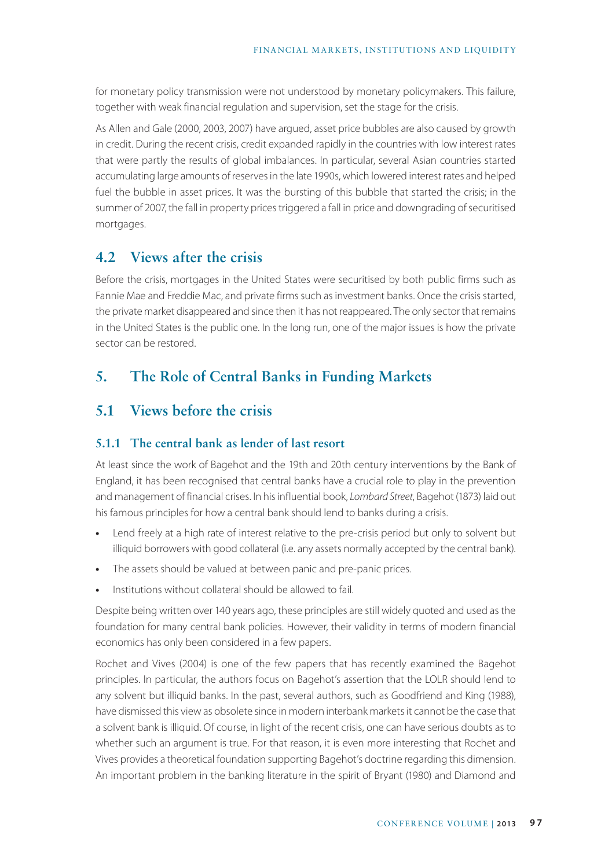for monetary policy transmission were not understood by monetary policymakers. This failure, together with weak financial regulation and supervision, set the stage for the crisis.

As Allen and Gale (2000, 2003, 2007) have argued, asset price bubbles are also caused by growth in credit. During the recent crisis, credit expanded rapidly in the countries with low interest rates that were partly the results of global imbalances. In particular, several Asian countries started accumulating large amounts of reserves in the late 1990s, which lowered interest rates and helped fuel the bubble in asset prices. It was the bursting of this bubble that started the crisis; in the summer of 2007, the fall in property prices triggered a fall in price and downgrading of securitised mortgages.

# **4.2 Views after the crisis**

Before the crisis, mortgages in the United States were securitised by both public firms such as Fannie Mae and Freddie Mac, and private firms such as investment banks. Once the crisis started, the private market disappeared and since then it has not reappeared. The only sector that remains in the United States is the public one. In the long run, one of the major issues is how the private sector can be restored.

# **5. The Role of Central Banks in Funding Markets**

# **5.1 Views before the crisis**

### **5.1.1 The central bank as lender of last resort**

At least since the work of Bagehot and the 19th and 20th century interventions by the Bank of England, it has been recognised that central banks have a crucial role to play in the prevention and management of financial crises. In his influential book, *Lombard Street*, Bagehot (1873) laid out his famous principles for how a central bank should lend to banks during a crisis.

- **•** Lend freely at a high rate of interest relative to the pre-crisis period but only to solvent but illiquid borrowers with good collateral (i.e. any assets normally accepted by the central bank).
- **•** The assets should be valued at between panic and pre-panic prices.
- **•** Institutions without collateral should be allowed to fail.

Despite being written over 140 years ago, these principles are still widely quoted and used as the foundation for many central bank policies. However, their validity in terms of modern financial economics has only been considered in a few papers.

Rochet and Vives (2004) is one of the few papers that has recently examined the Bagehot principles. In particular, the authors focus on Bagehot's assertion that the LOLR should lend to any solvent but illiquid banks. In the past, several authors, such as Goodfriend and King (1988), have dismissed this view as obsolete since in modern interbank markets it cannot be the case that a solvent bank is illiquid. Of course, in light of the recent crisis, one can have serious doubts as to whether such an argument is true. For that reason, it is even more interesting that Rochet and Vives provides a theoretical foundation supporting Bagehot's doctrine regarding this dimension. An important problem in the banking literature in the spirit of Bryant (1980) and Diamond and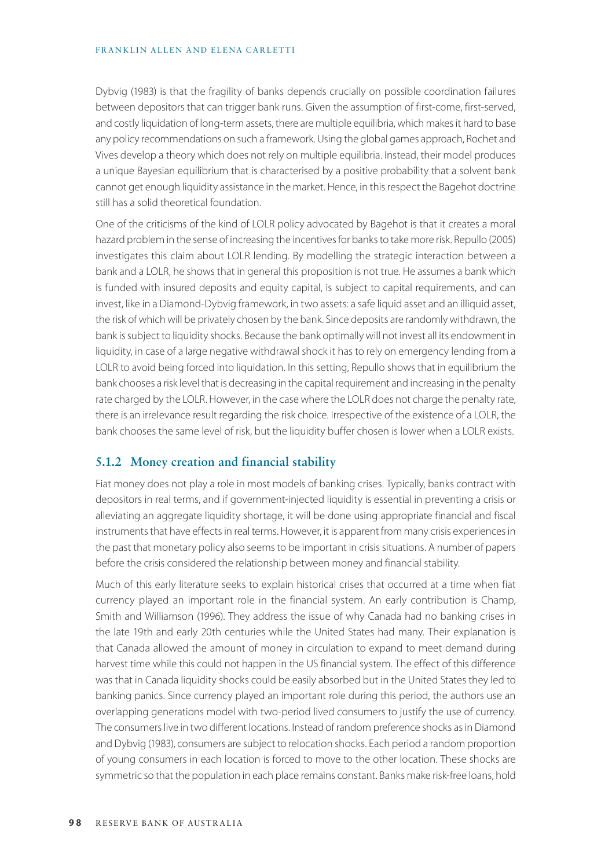Dybvig (1983) is that the fragility of banks depends crucially on possible coordination failures between depositors that can trigger bank runs. Given the assumption of first-come, first-served, and costly liquidation of long-term assets, there are multiple equilibria, which makes it hard to base any policy recommendations on such a framework. Using the global games approach, Rochet and Vives develop a theory which does not rely on multiple equilibria. Instead, their model produces a unique Bayesian equilibrium that is characterised by a positive probability that a solvent bank cannot get enough liquidity assistance in the market. Hence, in this respect the Bagehot doctrine still has a solid theoretical foundation.

One of the criticisms of the kind of LOLR policy advocated by Bagehot is that it creates a moral hazard problem in the sense of increasing the incentives for banks to take more risk. Repullo (2005) investigates this claim about LOLR lending. By modelling the strategic interaction between a bank and a LOLR, he shows that in general this proposition is not true. He assumes a bank which is funded with insured deposits and equity capital, is subject to capital requirements, and can invest, like in a Diamond-Dybvig framework, in two assets: a safe liquid asset and an illiquid asset, the risk of which will be privately chosen by the bank. Since deposits are randomly withdrawn, the bank is subject to liquidity shocks. Because the bank optimally will not invest all its endowment in liquidity, in case of a large negative withdrawal shock it has to rely on emergency lending from a LOLR to avoid being forced into liquidation. In this setting, Repullo shows that in equilibrium the bank chooses a risk level that is decreasing in the capital requirement and increasing in the penalty rate charged by the LOLR. However, in the case where the LOLR does not charge the penalty rate, there is an irrelevance result regarding the risk choice. Irrespective of the existence of a LOLR, the bank chooses the same level of risk, but the liquidity buffer chosen is lower when a LOLR exists.

### **5.1.2 Money creation and financial stability**

Fiat money does not play a role in most models of banking crises. Typically, banks contract with depositors in real terms, and if government-injected liquidity is essential in preventing a crisis or alleviating an aggregate liquidity shortage, it will be done using appropriate financial and fiscal instruments that have effects in real terms. However, it is apparent from many crisis experiences in the past that monetary policy also seems to be important in crisis situations. A number of papers before the crisis considered the relationship between money and financial stability.

Much of this early literature seeks to explain historical crises that occurred at a time when fiat currency played an important role in the financial system. An early contribution is Champ, Smith and Williamson (1996). They address the issue of why Canada had no banking crises in the late 19th and early 20th centuries while the United States had many. Their explanation is that Canada allowed the amount of money in circulation to expand to meet demand during harvest time while this could not happen in the US financial system. The effect of this difference was that in Canada liquidity shocks could be easily absorbed but in the United States they led to banking panics. Since currency played an important role during this period, the authors use an overlapping generations model with two-period lived consumers to justify the use of currency. The consumers live in two different locations. Instead of random preference shocks as in Diamond and Dybvig (1983), consumers are subject to relocation shocks. Each period a random proportion of young consumers in each location is forced to move to the other location. These shocks are symmetric so that the population in each place remains constant. Banks make risk-free loans, hold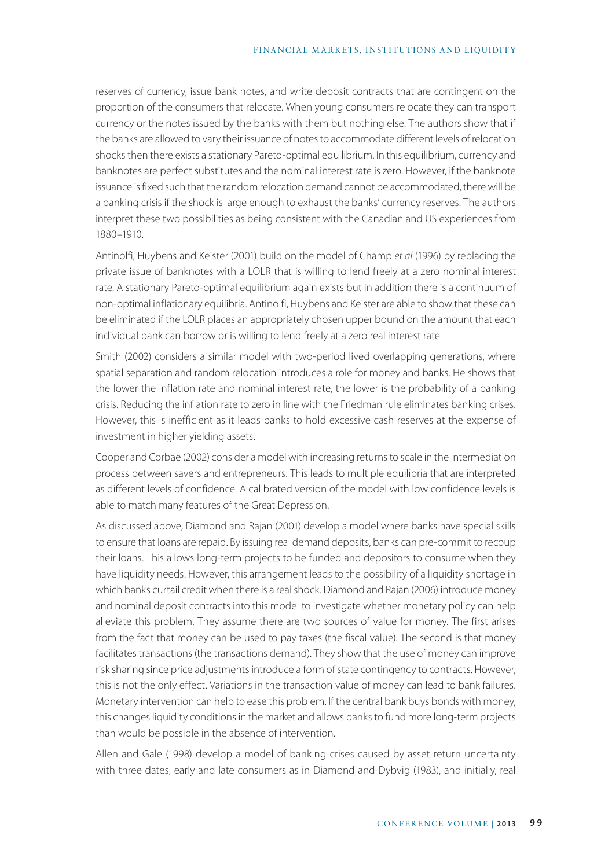reserves of currency, issue bank notes, and write deposit contracts that are contingent on the proportion of the consumers that relocate. When young consumers relocate they can transport currency or the notes issued by the banks with them but nothing else. The authors show that if the banks are allowed to vary their issuance of notes to accommodate different levels of relocation shocks then there exists a stationary Pareto-optimal equilibrium. In this equilibrium, currency and banknotes are perfect substitutes and the nominal interest rate is zero. However, if the banknote issuance is fixed such that the random relocation demand cannot be accommodated, there will be a banking crisis if the shock is large enough to exhaust the banks' currency reserves. The authors interpret these two possibilities as being consistent with the Canadian and US experiences from 1880–1910.

Antinolfi, Huybens and Keister (2001) build on the model of Champ *et al* (1996) by replacing the private issue of banknotes with a LOLR that is willing to lend freely at a zero nominal interest rate. A stationary Pareto-optimal equilibrium again exists but in addition there is a continuum of non-optimal inflationary equilibria. Antinolfi, Huybens and Keister are able to show that these can be eliminated if the LOLR places an appropriately chosen upper bound on the amount that each individual bank can borrow or is willing to lend freely at a zero real interest rate.

Smith (2002) considers a similar model with two-period lived overlapping generations, where spatial separation and random relocation introduces a role for money and banks. He shows that the lower the inflation rate and nominal interest rate, the lower is the probability of a banking crisis. Reducing the inflation rate to zero in line with the Friedman rule eliminates banking crises. However, this is inefficient as it leads banks to hold excessive cash reserves at the expense of investment in higher yielding assets.

Cooper and Corbae (2002) consider a model with increasing returns to scale in the intermediation process between savers and entrepreneurs. This leads to multiple equilibria that are interpreted as different levels of confidence. A calibrated version of the model with low confidence levels is able to match many features of the Great Depression.

As discussed above, Diamond and Rajan (2001) develop a model where banks have special skills to ensure that loans are repaid. By issuing real demand deposits, banks can pre-commit to recoup their loans. This allows long-term projects to be funded and depositors to consume when they have liquidity needs. However, this arrangement leads to the possibility of a liquidity shortage in which banks curtail credit when there is a real shock. Diamond and Rajan (2006) introduce money and nominal deposit contracts into this model to investigate whether monetary policy can help alleviate this problem. They assume there are two sources of value for money. The first arises from the fact that money can be used to pay taxes (the fiscal value). The second is that money facilitates transactions (the transactions demand). They show that the use of money can improve risk sharing since price adjustments introduce a form of state contingency to contracts. However, this is not the only effect. Variations in the transaction value of money can lead to bank failures. Monetary intervention can help to ease this problem. If the central bank buys bonds with money, this changes liquidity conditions in the market and allows banks to fund more long-term projects than would be possible in the absence of intervention.

Allen and Gale (1998) develop a model of banking crises caused by asset return uncertainty with three dates, early and late consumers as in Diamond and Dybvig (1983), and initially, real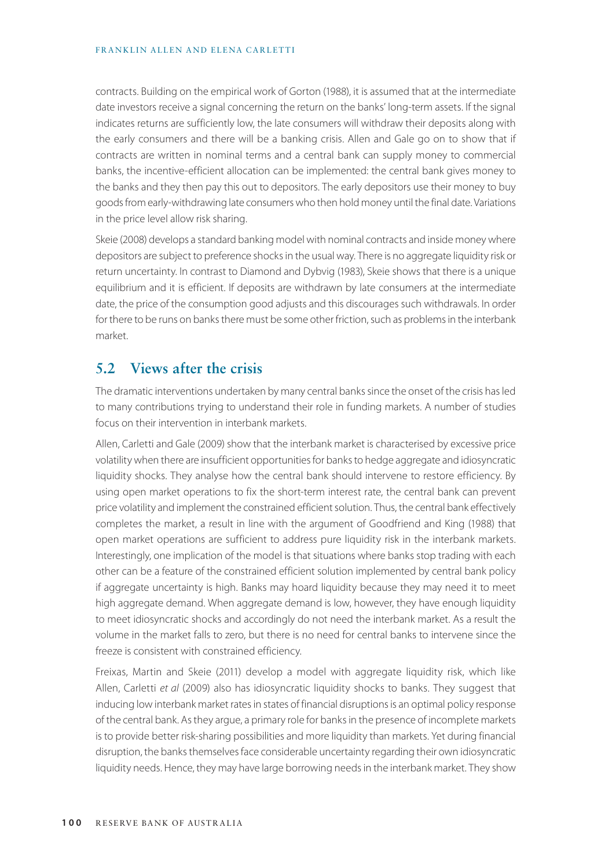contracts. Building on the empirical work of Gorton (1988), it is assumed that at the intermediate date investors receive a signal concerning the return on the banks' long-term assets. If the signal indicates returns are sufficiently low, the late consumers will withdraw their deposits along with the early consumers and there will be a banking crisis. Allen and Gale go on to show that if contracts are written in nominal terms and a central bank can supply money to commercial banks, the incentive-efficient allocation can be implemented: the central bank gives money to the banks and they then pay this out to depositors. The early depositors use their money to buy goods from early-withdrawing late consumers who then hold money until the final date. Variations in the price level allow risk sharing.

Skeie (2008) develops a standard banking model with nominal contracts and inside money where depositors are subject to preference shocks in the usual way. There is no aggregate liquidity risk or return uncertainty. In contrast to Diamond and Dybvig (1983), Skeie shows that there is a unique equilibrium and it is efficient. If deposits are withdrawn by late consumers at the intermediate date, the price of the consumption good adjusts and this discourages such withdrawals. In order for there to be runs on banks there must be some other friction, such as problems in the interbank market.

# **5.2 Views after the crisis**

The dramatic interventions undertaken by many central banks since the onset of the crisis has led to many contributions trying to understand their role in funding markets. A number of studies focus on their intervention in interbank markets.

Allen, Carletti and Gale (2009) show that the interbank market is characterised by excessive price volatility when there are insufficient opportunities for banks to hedge aggregate and idiosyncratic liquidity shocks. They analyse how the central bank should intervene to restore efficiency. By using open market operations to fix the short-term interest rate, the central bank can prevent price volatility and implement the constrained efficient solution. Thus, the central bank effectively completes the market, a result in line with the argument of Goodfriend and King (1988) that open market operations are sufficient to address pure liquidity risk in the interbank markets. Interestingly, one implication of the model is that situations where banks stop trading with each other can be a feature of the constrained efficient solution implemented by central bank policy if aggregate uncertainty is high. Banks may hoard liquidity because they may need it to meet high aggregate demand. When aggregate demand is low, however, they have enough liquidity to meet idiosyncratic shocks and accordingly do not need the interbank market. As a result the volume in the market falls to zero, but there is no need for central banks to intervene since the freeze is consistent with constrained efficiency.

Freixas, Martin and Skeie (2011) develop a model with aggregate liquidity risk, which like Allen, Carletti *et al* (2009) also has idiosyncratic liquidity shocks to banks. They suggest that inducing low interbank market rates in states of financial disruptions is an optimal policy response of the central bank. As they argue, a primary role for banks in the presence of incomplete markets is to provide better risk-sharing possibilities and more liquidity than markets. Yet during financial disruption, the banks themselves face considerable uncertainty regarding their own idiosyncratic liquidity needs. Hence, they may have large borrowing needs in the interbank market. They show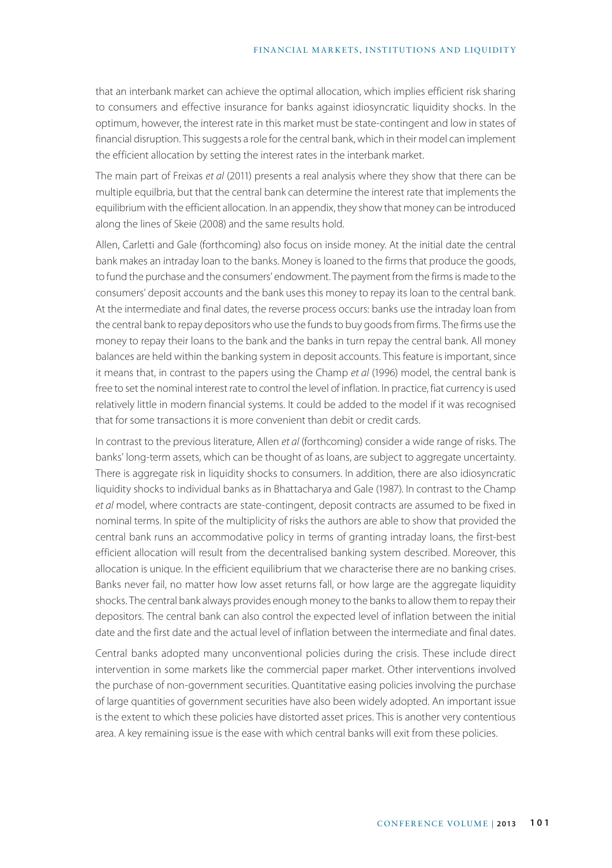that an interbank market can achieve the optimal allocation, which implies efficient risk sharing to consumers and effective insurance for banks against idiosyncratic liquidity shocks. In the optimum, however, the interest rate in this market must be state-contingent and low in states of financial disruption. This suggests a role for the central bank, which in their model can implement the efficient allocation by setting the interest rates in the interbank market.

The main part of Freixas *et al* (2011) presents a real analysis where they show that there can be multiple equilbria, but that the central bank can determine the interest rate that implements the equilibrium with the efficient allocation. In an appendix, they show that money can be introduced along the lines of Skeie (2008) and the same results hold.

Allen, Carletti and Gale (forthcoming) also focus on inside money. At the initial date the central bank makes an intraday loan to the banks. Money is loaned to the firms that produce the goods, to fund the purchase and the consumers' endowment. The payment from the firms is made to the consumers' deposit accounts and the bank uses this money to repay its loan to the central bank. At the intermediate and final dates, the reverse process occurs: banks use the intraday loan from the central bank to repay depositors who use the funds to buy goods from firms. The firms use the money to repay their loans to the bank and the banks in turn repay the central bank. All money balances are held within the banking system in deposit accounts. This feature is important, since it means that, in contrast to the papers using the Champ *et al* (1996) model, the central bank is free to set the nominal interest rate to control the level of inflation. In practice, fiat currency is used relatively little in modern financial systems. It could be added to the model if it was recognised that for some transactions it is more convenient than debit or credit cards.

In contrast to the previous literature, Allen *et al* (forthcoming) consider a wide range of risks. The banks' long-term assets, which can be thought of as loans, are subject to aggregate uncertainty. There is aggregate risk in liquidity shocks to consumers. In addition, there are also idiosyncratic liquidity shocks to individual banks as in Bhattacharya and Gale (1987). In contrast to the Champ *et al* model, where contracts are state-contingent, deposit contracts are assumed to be fixed in nominal terms. In spite of the multiplicity of risks the authors are able to show that provided the central bank runs an accommodative policy in terms of granting intraday loans, the first-best efficient allocation will result from the decentralised banking system described. Moreover, this allocation is unique. In the efficient equilibrium that we characterise there are no banking crises. Banks never fail, no matter how low asset returns fall, or how large are the aggregate liquidity shocks. The central bank always provides enough money to the banks to allow them to repay their depositors. The central bank can also control the expected level of inflation between the initial date and the first date and the actual level of inflation between the intermediate and final dates.

Central banks adopted many unconventional policies during the crisis. These include direct intervention in some markets like the commercial paper market. Other interventions involved the purchase of non-government securities. Quantitative easing policies involving the purchase of large quantities of government securities have also been widely adopted. An important issue is the extent to which these policies have distorted asset prices. This is another very contentious area. A key remaining issue is the ease with which central banks will exit from these policies.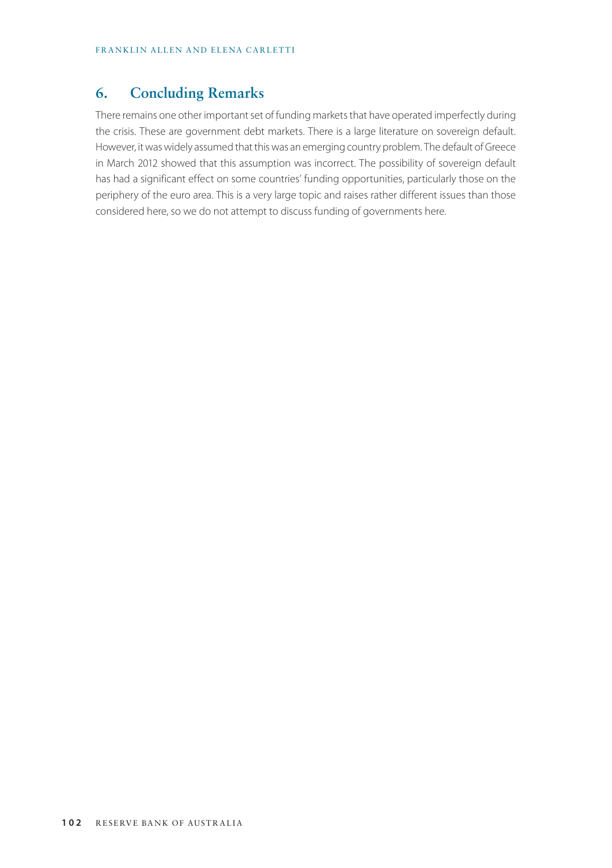# **6. Concluding Remarks**

There remains one other important set of funding markets that have operated imperfectly during the crisis. These are government debt markets. There is a large literature on sovereign default. However, it was widely assumed that this was an emerging country problem. The default of Greece in March 2012 showed that this assumption was incorrect. The possibility of sovereign default has had a significant effect on some countries' funding opportunities, particularly those on the periphery of the euro area. This is a very large topic and raises rather different issues than those considered here, so we do not attempt to discuss funding of governments here.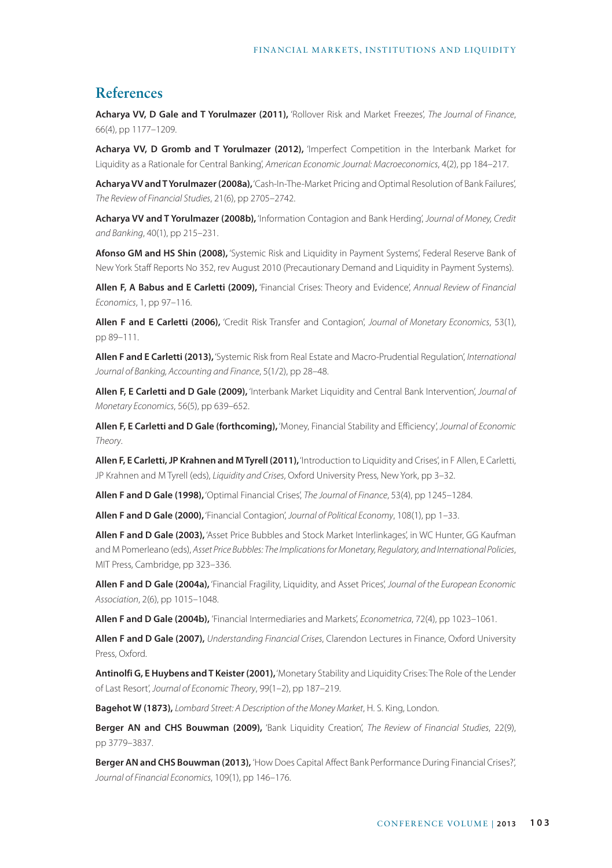# **References**

**Acharya VV, D Gale and T Yorulmazer (2011),** 'Rollover Risk and Market Freezes', *The Journal of Finance*, 66(4), pp 1177–1209.

**Acharya VV, D Gromb and T Yorulmazer (2012),** 'Imperfect Competition in the Interbank Market for Liquidity as a Rationale for Central Banking', *American Economic Journal: Macroeconomics*, 4(2), pp 184–217.

**Acharya VV and T Yorulmazer (2008a),** 'Cash-In-The-Market Pricing and Optimal Resolution of Bank Failures', *The Review of Financial Studies*, 21(6), pp 2705–2742.

**Acharya VV and T Yorulmazer (2008b),** 'Information Contagion and Bank Herding', *Journal of Money, Credit and Banking*, 40(1), pp 215–231.

**Afonso GM and HS Shin (2008),** 'Systemic Risk and Liquidity in Payment Systems', Federal Reserve Bank of New York Staff Reports No 352, rev August 2010 (Precautionary Demand and Liquidity in Payment Systems).

**Allen F, A Babus and E Carletti (2009),** 'Financial Crises: Theory and Evidence', *Annual Review of Financial Economics*, 1, pp 97–116.

**Allen F and E Carletti (2006),** 'Credit Risk Transfer and Contagion', *Journal of Monetary Economics*, 53(1), pp 89–111.

**Allen F and E Carletti (2013),** 'Systemic Risk from Real Estate and Macro-Prudential Regulation', *International Journal of Banking, Accounting and Finance*, 5(1/2), pp 28–48.

**Allen F, E Carletti and D Gale (2009),** 'Interbank Market Liquidity and Central Bank Intervention', *Journal of Monetary Economics*, 56(5), pp 639–652.

**Allen F, E Carletti and D Gale (forthcoming),** 'Money, Financial Stability and Efficiency', *Journal of Economic Theory*.

**Allen F, E Carletti, JP Krahnen and M Tyrell (2011),** 'Introduction to Liquidity and Crises', in F Allen, E Carletti, JP Krahnen and M Tyrell (eds), *Liquidity and Crises*, Oxford University Press, New York, pp 3–32.

**Allen F and D Gale (1998),** 'Optimal Financial Crises', *The Journal of Finance*, 53(4), pp 1245–1284.

**Allen F and D Gale (2000),** 'Financial Contagion', *Journal of Political Economy*, 108(1), pp 1–33.

**Allen F and D Gale (2003),** 'Asset Price Bubbles and Stock Market Interlinkages', in WC Hunter, GG Kaufman and M Pomerleano (eds), *Asset Price Bubbles: The Implications for Monetary, Regulatory, and International Policies*, MIT Press, Cambridge, pp 323–336.

**Allen F and D Gale (2004a),** 'Financial Fragility, Liquidity, and Asset Prices', *Journal of the European Economic Association*, 2(6), pp 1015–1048.

**Allen F and D Gale (2004b),** 'Financial Intermediaries and Markets', *Econometrica*, 72(4), pp 1023–1061.

**Allen F and D Gale (2007),** *Understanding Financial Crises*, Clarendon Lectures in Finance, Oxford University Press, Oxford.

**Antinolfi G, E Huybens and T Keister (2001),** 'Monetary Stability and Liquidity Crises: The Role of the Lender of Last Resort', *Journal of Economic Theory*, 99(1–2), pp 187–219.

**Bagehot W (1873),** *Lombard Street: A Description of the Money Market*, H. S. King, London.

**Berger AN and CHS Bouwman (2009),** 'Bank Liquidity Creation', *The Review of Financial Studies*, 22(9), pp 3779–3837.

**Berger AN and CHS Bouwman (2013),** 'How Does Capital Affect Bank Performance During Financial Crises?', *Journal of Financial Economics*, 109(1), pp 146–176.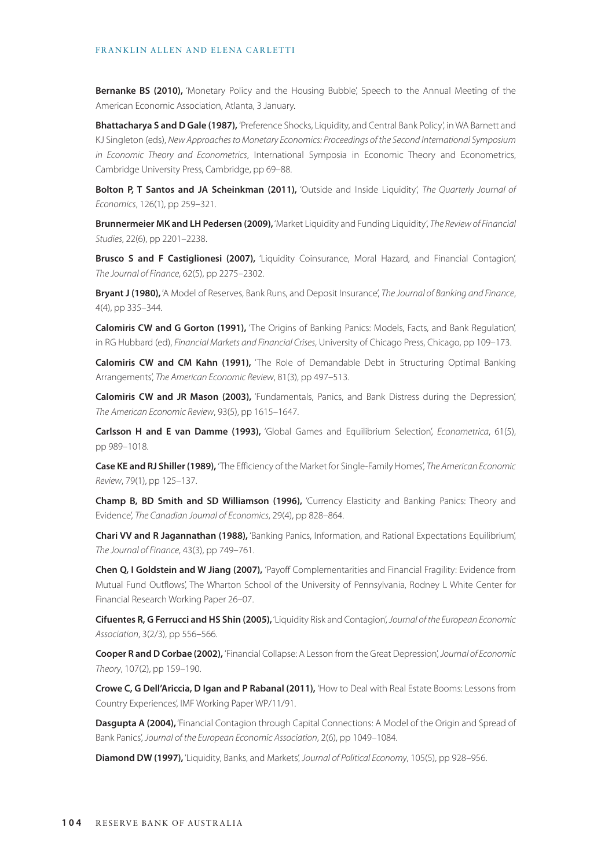**Bernanke BS (2010),** 'Monetary Policy and the Housing Bubble', Speech to the Annual Meeting of the American Economic Association, Atlanta, 3 January.

**Bhattacharya S and D Gale (1987),** 'Preference Shocks, Liquidity, and Central Bank Policy', in WA Barnett and KJ Singleton (eds), *New Approaches to Monetary Economics: Proceedings of the Second International Symposium in Economic Theory and Econometrics*, International Symposia in Economic Theory and Econometrics, Cambridge University Press, Cambridge, pp 69–88.

**Bolton P, T Santos and JA Scheinkman (2011),** 'Outside and Inside Liquidity', *The Quarterly Journal of Economics*, 126(1), pp 259–321.

**Brunnermeier MK and LH Pedersen (2009),** 'Market Liquidity and Funding Liquidity', *The Review of Financial Studies*, 22(6), pp 2201–2238.

**Brusco S and F Castiglionesi (2007),** 'Liquidity Coinsurance, Moral Hazard, and Financial Contagion', *The Journal of Finance*, 62(5), pp 2275–2302.

**Bryant J (1980),** 'A Model of Reserves, Bank Runs, and Deposit Insurance', *The Journal of Banking and Finance*, 4(4), pp 335–344.

**Calomiris CW and G Gorton (1991),** 'The Origins of Banking Panics: Models, Facts, and Bank Regulation', in RG Hubbard (ed), *Financial Markets and Financial Crises*, University of Chicago Press, Chicago, pp 109–173.

**Calomiris CW and CM Kahn (1991),** 'The Role of Demandable Debt in Structuring Optimal Banking Arrangements', *The American Economic Review*, 81(3), pp 497–513.

**Calomiris CW and JR Mason (2003),** 'Fundamentals, Panics, and Bank Distress during the Depression', *The American Economic Review*, 93(5), pp 1615–1647.

**Carlsson H and E van Damme (1993),** 'Global Games and Equilibrium Selection', *Econometrica*, 61(5), pp 989–1018.

**Case KE and RJ Shiller (1989),** 'The Efficiency of the Market for Single-Family Homes', *The American Economic Review*, 79(1), pp 125–137.

**Champ B, BD Smith and SD Williamson (1996),** 'Currency Elasticity and Banking Panics: Theory and Evidence', *The Canadian Journal of Economics*, 29(4), pp 828–864.

**Chari VV and R Jagannathan (1988),** 'Banking Panics, Information, and Rational Expectations Equilibrium', *The Journal of Finance*, 43(3), pp 749–761.

**Chen Q, I Goldstein and W Jiang (2007),** 'Payoff Complementarities and Financial Fragility: Evidence from Mutual Fund Outflows', The Wharton School of the University of Pennsylvania, Rodney L White Center for Financial Research Working Paper 26–07.

**Cifuentes R, G Ferrucci and HS Shin (2005),** 'Liquidity Risk and Contagion', *Journal of the European Economic Association*, 3(2/3), pp 556–566.

**Cooper R and D Corbae (2002),** 'Financial Collapse: A Lesson from the Great Depression', *Journal of Economic Theory*, 107(2), pp 159–190.

**Crowe C, G Dell'Ariccia, D Igan and P Rabanal (2011),** 'How to Deal with Real Estate Booms: Lessons from Country Experiences', IMF Working Paper WP/11/91.

**Dasgupta A (2004),** 'Financial Contagion through Capital Connections: A Model of the Origin and Spread of Bank Panics', *Journal of the European Economic Association*, 2(6), pp 1049–1084.

**Diamond DW (1997),** 'Liquidity, Banks, and Markets', *Journal of Political Economy*, 105(5), pp 928–956.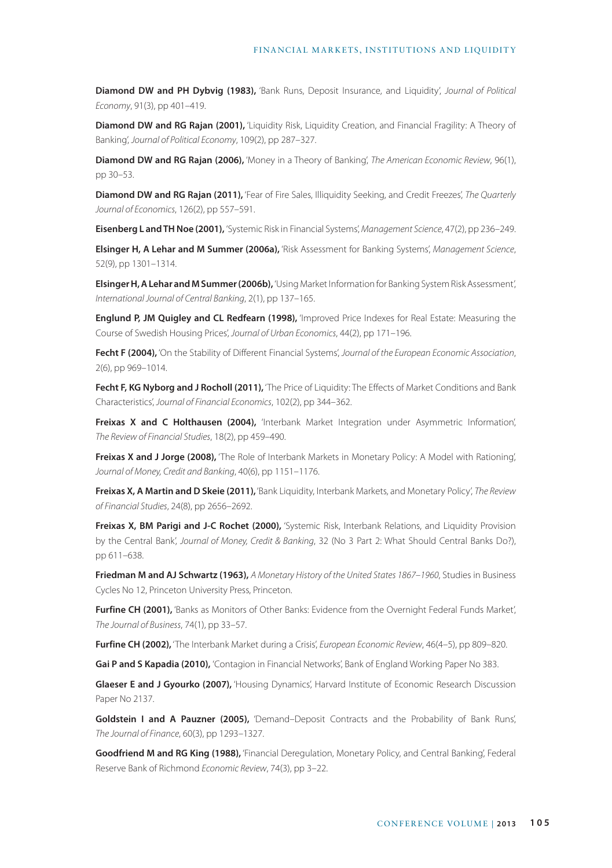**Diamond DW and PH Dybvig (1983),** 'Bank Runs, Deposit Insurance, and Liquidity', *Journal of Political Economy*, 91(3), pp 401–419.

**Diamond DW and RG Rajan (2001),** 'Liquidity Risk, Liquidity Creation, and Financial Fragility: A Theory of Banking', *Journal of Political Economy*, 109(2), pp 287–327.

**Diamond DW and RG Rajan (2006),** 'Money in a Theory of Banking', *The American Economic Review*, 96(1), pp 30–53.

**Diamond DW and RG Rajan (2011),** 'Fear of Fire Sales, Illiquidity Seeking, and Credit Freezes', *The Quarterly Journal of Economics*, 126(2), pp 557–591.

**Eisenberg L and TH Noe (2001),** 'Systemic Risk in Financial Systems', *Management Science*, 47(2), pp 236–249.

**Elsinger H, A Lehar and M Summer (2006a),** 'Risk Assessment for Banking Systems', *Management Science*, 52(9), pp 1301–1314.

**Elsinger H, A Lehar and M Summer (2006b),** 'Using Market Information for Banking System Risk Assessment', *International Journal of Central Banking*, 2(1), pp 137–165.

**Englund P, JM Quigley and CL Redfearn (1998),** 'Improved Price Indexes for Real Estate: Measuring the Course of Swedish Housing Prices', *Journal of Urban Economics*, 44(2), pp 171–196.

**Fecht F (2004),** 'On the Stability of Different Financial Systems', *Journal of the European Economic Association*, 2(6), pp 969–1014.

**Fecht F, KG Nyborg and J Rocholl (2011),** 'The Price of Liquidity: The Effects of Market Conditions and Bank Characteristics', *Journal of Financial Economics*, 102(2), pp 344–362.

**Freixas X and C Holthausen (2004),** 'Interbank Market Integration under Asymmetric Information', *The Review of Financial Studies*, 18(2), pp 459–490.

**Freixas X and J Jorge (2008),** 'The Role of Interbank Markets in Monetary Policy: A Model with Rationing', *Journal of Money, Credit and Banking*, 40(6), pp 1151–1176.

**Freixas X, A Martin and D Skeie (2011),** 'Bank Liquidity, Interbank Markets, and Monetary Policy', *The Review of Financial Studies*, 24(8), pp 2656–2692.

**Freixas X, BM Parigi and J-C Rochet (2000),** 'Systemic Risk, Interbank Relations, and Liquidity Provision by the Central Bank', *Journal of Money, Credit & Banking*, 32 (No 3 Part 2: What Should Central Banks Do?), pp 611–638.

**Friedman M and AJ Schwartz (1963),** *A Monetary History of the United States 1867–1960*, Studies in Business Cycles No 12, Princeton University Press, Princeton.

Furfine CH (2001), 'Banks as Monitors of Other Banks: Evidence from the Overnight Federal Funds Market', *The Journal of Business*, 74(1), pp 33–57.

**Furfine CH (2002),** 'The Interbank Market during a Crisis', *European Economic Review*, 46(4–5), pp 809–820.

**Gai P and S Kapadia (2010),** 'Contagion in Financial Networks', Bank of England Working Paper No 383.

**Glaeser E and J Gyourko (2007),** 'Housing Dynamics', Harvard Institute of Economic Research Discussion Paper No 2137.

Goldstein I and A Pauzner (2005), 'Demand–Deposit Contracts and the Probability of Bank Runs', *The Journal of Finance*, 60(3), pp 1293–1327.

**Goodfriend M and RG King (1988),** 'Financial Deregulation, Monetary Policy, and Central Banking', Federal Reserve Bank of Richmond *Economic Review*, 74(3), pp 3–22.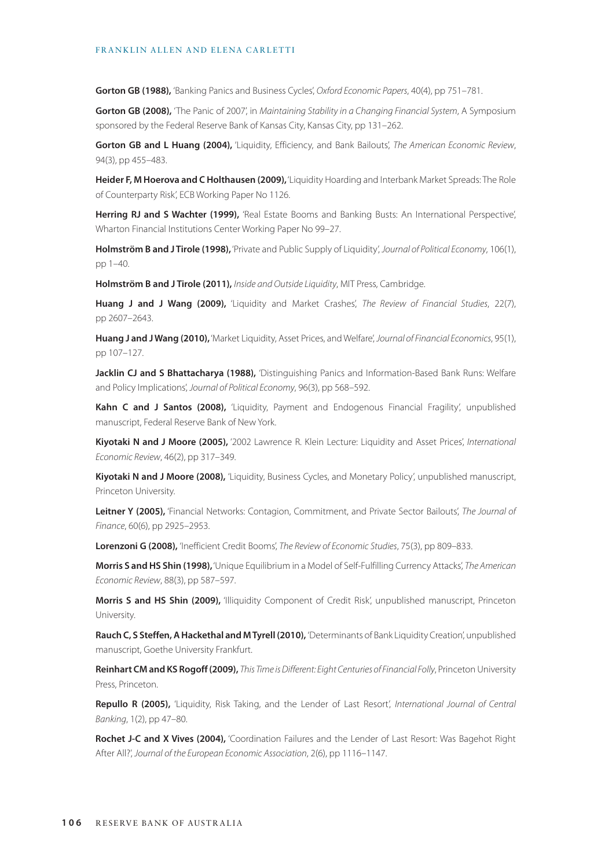**Gorton GB (1988),** 'Banking Panics and Business Cycles', *Oxford Economic Papers*, 40(4), pp 751–781.

**Gorton GB (2008),** 'The Panic of 2007', in *Maintaining Stability in a Changing Financial System*, A Symposium sponsored by the Federal Reserve Bank of Kansas City, Kansas City, pp 131–262.

**Gorton GB and L Huang (2004),** 'Liquidity, Efficiency, and Bank Bailouts', *The American Economic Review*, 94(3), pp 455–483.

**Heider F, M Hoerova and C Holthausen (2009),** 'Liquidity Hoarding and Interbank Market Spreads: The Role of Counterparty Risk', ECB Working Paper No 1126.

Herring RJ and S Wachter (1999), 'Real Estate Booms and Banking Busts: An International Perspective', Wharton Financial Institutions Center Working Paper No 99–27.

**Holmström B and J Tirole (1998),** 'Private and Public Supply of Liquidity', *Journal of Political Economy*, 106(1), pp 1–40.

**Holmström B and J Tirole (2011),** *Inside and Outside Liquidity*, MIT Press, Cambridge.

**Huang J and J Wang (2009),** 'Liquidity and Market Crashes', *The Review of Financial Studies*, 22(7), pp 2607–2643.

**Huang J and J Wang (2010),** 'Market Liquidity, Asset Prices, and Welfare', *Journal of Financial Economics*, 95(1), pp 107–127.

**Jacklin CJ and S Bhattacharya (1988),** 'Distinguishing Panics and Information-Based Bank Runs: Welfare and Policy Implications', *Journal of Political Economy*, 96(3), pp 568–592.

Kahn C and J Santos (2008), 'Liquidity, Payment and Endogenous Financial Fragility', unpublished manuscript, Federal Reserve Bank of New York.

**Kiyotaki N and J Moore (2005),** '2002 Lawrence R. Klein Lecture: Liquidity and Asset Prices', *International Economic Review*, 46(2), pp 317–349.

**Kiyotaki N and J Moore (2008),** 'Liquidity, Business Cycles, and Monetary Policy', unpublished manuscript, Princeton University.

**Leitner Y (2005),** 'Financial Networks: Contagion, Commitment, and Private Sector Bailouts', *The Journal of Finance*, 60(6), pp 2925–2953.

**Lorenzoni G (2008),** 'Inefficient Credit Booms', *The Review of Economic Studies*, 75(3), pp 809–833.

**Morris S and HS Shin (1998),** 'Unique Equilibrium in a Model of Self-Fulfilling Currency Attacks', *The American Economic Review*, 88(3), pp 587–597.

**Morris S and HS Shin (2009),** 'Illiquidity Component of Credit Risk', unpublished manuscript, Princeton University.

**Rauch C, S Steffen, A Hackethal and M Tyrell (2010),** 'Determinants of Bank Liquidity Creation', unpublished manuscript, Goethe University Frankfurt.

**Reinhart CM and KS Rogoff (2009),** *This Time is Different: Eight Centuries of Financial Folly*, Princeton University Press, Princeton.

**Repullo R (2005),** 'Liquidity, Risk Taking, and the Lender of Last Resort', *International Journal of Central Banking*, 1(2), pp 47–80.

**Rochet J-C and X Vives (2004),** 'Coordination Failures and the Lender of Last Resort: Was Bagehot Right After All?', *Journal of the European Economic Association*, 2(6), pp 1116–1147.